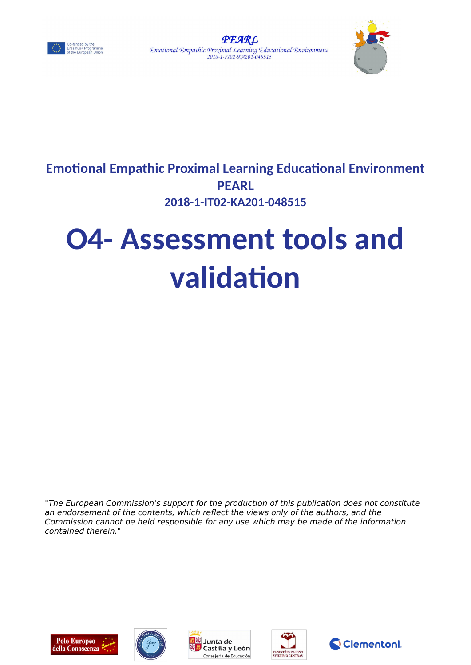





# **Emotional Empathic Proximal Learning Educational Environment PEARL 2018-1-IT02-KA201-048515**

# **O4- Assessment tools and validation**

"The European Commission's support for the production of this publication does not constitute an endorsement of the contents, which reflect the views only of the authors, and the Commission cannot be held responsible for any use which may be made of the information contained therein."









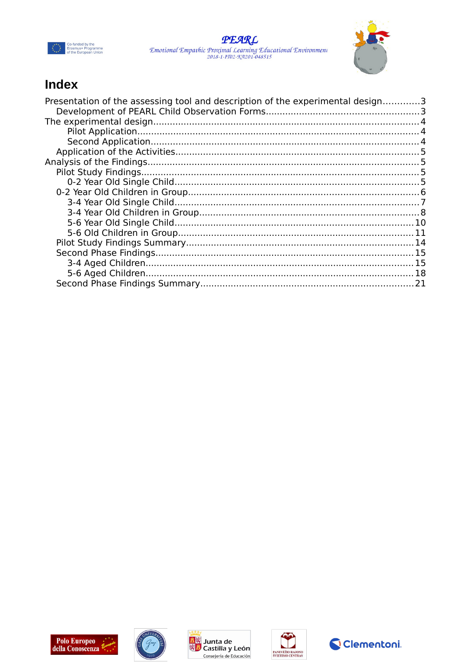





# Index

| Presentation of the assessing tool and description of the experimental design3 |  |
|--------------------------------------------------------------------------------|--|
|                                                                                |  |
|                                                                                |  |
|                                                                                |  |
|                                                                                |  |
|                                                                                |  |
|                                                                                |  |
|                                                                                |  |
|                                                                                |  |
|                                                                                |  |
|                                                                                |  |
|                                                                                |  |
|                                                                                |  |
|                                                                                |  |
|                                                                                |  |
|                                                                                |  |
|                                                                                |  |
|                                                                                |  |
|                                                                                |  |
|                                                                                |  |









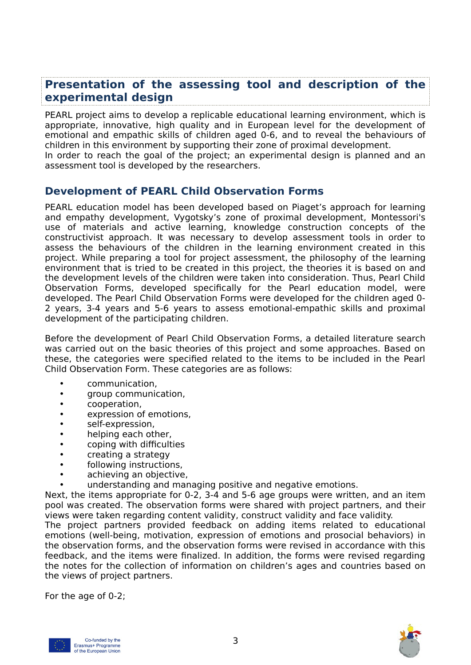## <span id="page-2-0"></span>**Presentation of the assessing tool and description of the experimental design**

PEARL project aims to develop a replicable educational learning environment, which is appropriate, innovative, high quality and in European level for the development of emotional and empathic skills of children aged 0-6, and to reveal the behaviours of children in this environment by supporting their zone of proximal development. In order to reach the goal of the project; an experimental design is planned and an

assessment tool is developed by the researchers.

## <span id="page-2-1"></span>**Development of PEARL Child Observation Forms**

PEARL education model has been developed based on Piaget's approach for learning and empathy development, Vygotsky's zone of proximal development, Montessori's use of materials and active learning, knowledge construction concepts of the constructivist approach. It was necessary to develop assessment tools in order to assess the behaviours of the children in the learning environment created in this project. While preparing a tool for project assessment, the philosophy of the learning environment that is tried to be created in this project, the theories it is based on and the development levels of the children were taken into consideration. Thus, Pearl Child Observation Forms, developed specifically for the Pearl education model, were developed. The Pearl Child Observation Forms were developed for the children aged 0- 2 years, 3-4 years and 5-6 years to assess emotional-empathic skills and proximal development of the participating children.

Before the development of Pearl Child Observation Forms, a detailed literature search was carried out on the basic theories of this project and some approaches. Based on these, the categories were specified related to the items to be included in the Pearl Child Observation Form. These categories are as follows:

- communication,
- aroup communication.
- cooperation,
- expression of emotions,
- self-expression,
- helping each other,
- coping with difficulties
- creating a strategy
- following instructions,
- achieving an objective,
- understanding and managing positive and negative emotions.

Next, the items appropriate for 0-2, 3-4 and 5-6 age groups were written, and an item pool was created. The observation forms were shared with project partners, and their views were taken regarding content validity, construct validity and face validity.

The project partners provided feedback on adding items related to educational emotions (well-being, motivation, expression of emotions and prosocial behaviors) in the observation forms, and the observation forms were revised in accordance with this feedback, and the items were finalized. In addition, the forms were revised regarding the notes for the collection of information on children's ages and countries based on the views of project partners.

For the age of 0-2;



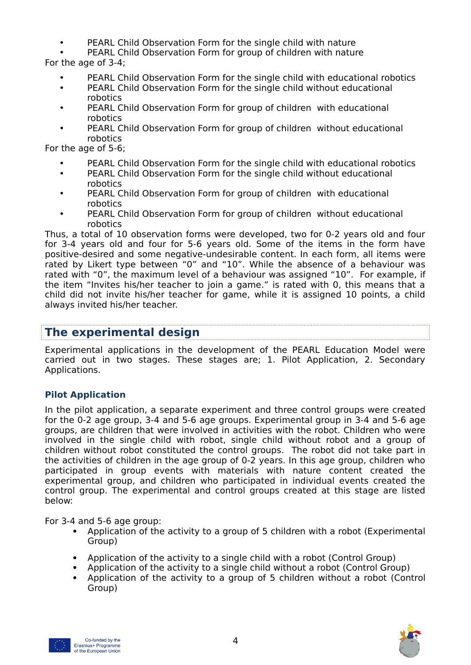- PEARL Child Observation Form for the single child with nature
- PEARL Child Observation Form for group of children with nature

For the age of 3-4;

- PEARL Child Observation Form for the single child with educational robotics
- PEARL Child Observation Form for the single child without educational robotics
- PEARL Child Observation Form for group of children with educational robotics
- PEARL Child Observation Form for group of children without educational robotics

For the age of 5-6;

- PEARL Child Observation Form for the single child with educational robotics
- PEARL Child Observation Form for the single child without educational robotics
- PEARL Child Observation Form for group of children with educational robotics
- PEARL Child Observation Form for group of children without educational robotics

Thus, a total of 10 observation forms were developed, two for 0-2 years old and four for 3-4 years old and four for 5-6 years old. Some of the items in the form have positive-desired and some negative-undesirable content. In each form, all items were rated by Likert type between "0" and "10". While the absence of a behaviour was rated with "0", the maximum level of a behaviour was assigned "10". For example, if the item "Invites his/her teacher to join a game." is rated with 0, this means that a child did not invite his/her teacher for game, while it is assigned 10 points, a child always invited his/her teacher.

# <span id="page-3-1"></span>**The experimental design**

Experimental applications in the development of the PEARL Education Model were carried out in two stages. These stages are; 1. Pilot Application, 2. Secondary Applications.

## <span id="page-3-0"></span>**Pilot Application**

In the pilot application, a separate experiment and three control groups were created for the 0-2 age group, 3-4 and 5-6 age groups. Experimental group in 3-4 and 5-6 age groups, are children that were involved in activities with the robot. Children who were involved in the single child with robot, single child without robot and a group of children without robot constituted the control groups. The robot did not take part in the activities of children in the age group of 0-2 years. In this age group, children who participated in group events with materials with nature content created the experimental group, and children who participated in individual events created the control group. The experimental and control groups created at this stage are listed below:

For 3-4 and 5-6 age group:

- Application of the activity to a group of 5 children with a robot (Experimental Group)
- Application of the activity to a single child with a robot (Control Group)
- Application of the activity to a single child without a robot (Control Group)
- Application of the activity to a group of 5 children without a robot (Control Group)



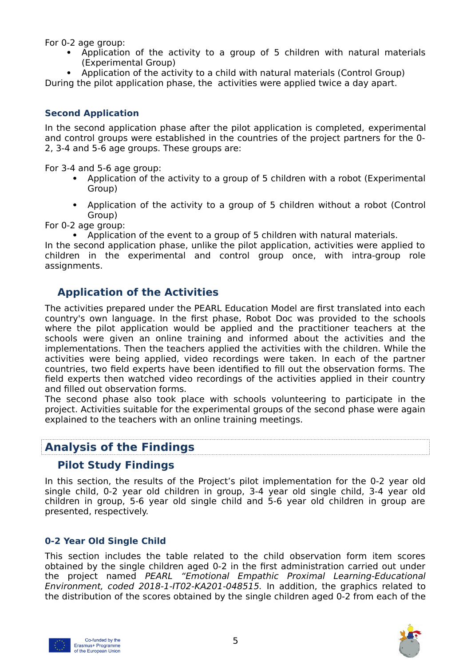For 0-2 age group:

- Application of the activity to a group of 5 children with natural materials (Experimental Group)
- Application of the activity to a child with natural materials (Control Group)

During the pilot application phase, the activities were applied twice a day apart.

## <span id="page-4-4"></span>**Second Application**

In the second application phase after the pilot application is completed, experimental and control groups were established in the countries of the project partners for the 0- 2, 3-4 and 5-6 age groups. These groups are:

For 3-4 and 5-6 age group:

- Application of the activity to a group of 5 children with a robot (Experimental Group)
- Application of the activity to a group of 5 children without a robot (Control Group)

For 0-2 age group:

Application of the event to a group of 5 children with natural materials.

In the second application phase, unlike the pilot application, activities were applied to children in the experimental and control group once, with intra-group role assignments.

## <span id="page-4-3"></span>**Application of the Activities**

The activities prepared under the PEARL Education Model are first translated into each country's own language. In the first phase, Robot Doc was provided to the schools where the pilot application would be applied and the practitioner teachers at the schools were given an online training and informed about the activities and the implementations. Then the teachers applied the activities with the children. While the activities were being applied, video recordings were taken. In each of the partner countries, two field experts have been identified to fill out the observation forms. The field experts then watched video recordings of the activities applied in their country and filled out observation forms.

The second phase also took place with schools volunteering to participate in the project. Activities suitable for the experimental groups of the second phase were again explained to the teachers with an online training meetings.

# <span id="page-4-2"></span>**Analysis of the Findings**

## <span id="page-4-1"></span>**Pilot Study Findings**

In this section, the results of the Project's pilot implementation for the 0-2 year old single child, 0-2 year old children in group, 3-4 year old single child, 3-4 year old children in group, 5-6 year old single child and 5-6 year old children in group are presented, respectively.

## <span id="page-4-0"></span>**0-2 Year Old Single Child**

This section includes the table related to the child observation form item scores obtained by the single children aged 0-2 in the first administration carried out under the project named PEARL "Emotional Empathic Proximal Learning-Educational Environment, coded 2018-1-IT02-KA201-048515. In addition, the graphics related to the distribution of the scores obtained by the single children aged 0-2 from each of the



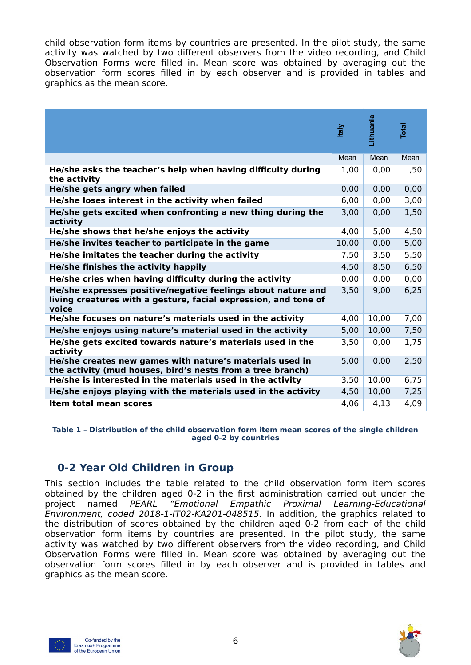child observation form items by countries are presented. In the pilot study, the same activity was watched by two different observers from the video recording, and Child Observation Forms were filled in. Mean score was obtained by averaging out the observation form scores filled in by each observer and is provided in tables and graphics as the mean score.

|                                                                                                                                          | <u>kaly</u> | <u>.ithuania</u> | <b>Total</b> |
|------------------------------------------------------------------------------------------------------------------------------------------|-------------|------------------|--------------|
|                                                                                                                                          | Mean        | Mean             | Mean         |
| He/she asks the teacher's help when having difficulty during<br>the activity                                                             | 1,00        | 0,00             | ,50          |
| He/she gets angry when failed                                                                                                            | 0,00        | 0,00             | 0,00         |
| He/she loses interest in the activity when failed                                                                                        | 6,00        | 0,00             | 3,00         |
| He/she gets excited when confronting a new thing during the<br>activity                                                                  | 3,00        | 0,00             | 1,50         |
| He/she shows that he/she enjoys the activity                                                                                             | 4,00        | 5,00             | 4,50         |
| He/she invites teacher to participate in the game                                                                                        | 10,00       | 0,00             | 5,00         |
| He/she imitates the teacher during the activity                                                                                          | 7,50        | 3,50             | 5,50         |
| He/she finishes the activity happily                                                                                                     | 4,50        | 8,50             | 6,50         |
| He/she cries when having difficulty during the activity                                                                                  | 0,00        | 0,00             | 0,00         |
| He/she expresses positive/negative feelings about nature and<br>living creatures with a gesture, facial expression, and tone of<br>voice | 3,50        | 9,00             | 6,25         |
| He/she focuses on nature's materials used in the activity                                                                                | 4,00        | 10,00            | 7,00         |
| He/she enjoys using nature's material used in the activity                                                                               | 5,00        | 10,00            | 7,50         |
| He/she gets excited towards nature's materials used in the<br>activity                                                                   | 3,50        | 0,00             | 1,75         |
| He/she creates new games with nature's materials used in<br>the activity (mud houses, bird's nests from a tree branch)                   | 5,00        | 0,00             | 2,50         |
| He/she is interested in the materials used in the activity                                                                               | 3,50        | 10,00            | 6,75         |
| He/she enjoys playing with the materials used in the activity                                                                            | 4,50        | 10,00            | 7,25         |
| <b>Item total mean scores</b>                                                                                                            | 4,06        | 4,13             | 4,09         |

**Table 1 – Distribution of the child observation form item mean scores of the single children aged 0-2 by countries**

# <span id="page-5-0"></span>**0-2 Year Old Children in Group**

This section includes the table related to the child observation form item scores obtained by the children aged 0-2 in the first administration carried out under the project named PEARL "Emotional Empathic Proximal Learning-Educational Environment, coded 2018-1-IT02-KA201-048515. In addition, the graphics related to the distribution of scores obtained by the children aged 0-2 from each of the child observation form items by countries are presented. In the pilot study, the same activity was watched by two different observers from the video recording, and Child Observation Forms were filled in. Mean score was obtained by averaging out the observation form scores filled in by each observer and is provided in tables and graphics as the mean score.



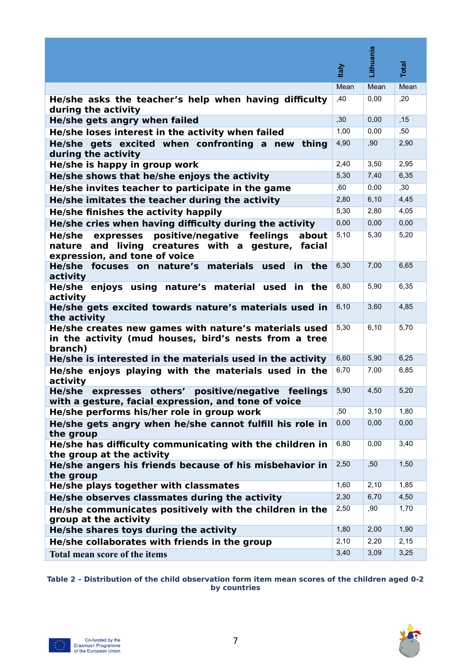|                                                                                                                                                      |             | Lithuania |              |
|------------------------------------------------------------------------------------------------------------------------------------------------------|-------------|-----------|--------------|
|                                                                                                                                                      | <b>taly</b> |           | <b>Total</b> |
|                                                                                                                                                      | Mean        | Mean      | Mean         |
| He/she asks the teacher's help when having difficulty<br>during the activity                                                                         | ,40         | 0,00      | ,20          |
| He/she gets angry when failed                                                                                                                        | ,30         | 0,00      | ,15          |
| He/she loses interest in the activity when failed                                                                                                    | 1,00        | 0,00      | ,50          |
| He/she gets excited when confronting a new<br>thing<br>during the activity                                                                           | 4,90        | ,90       | 2,90         |
| He/she is happy in group work                                                                                                                        | 2,40        | 3,50      | 2,95         |
| He/she shows that he/she enjoys the activity                                                                                                         | 5,30        | 7,40      | 6,35         |
| He/she invites teacher to participate in the game                                                                                                    | ,60         | 0,00      | ,30          |
| He/she imitates the teacher during the activity                                                                                                      | 2,80        | 6,10      | 4,45         |
| He/she finishes the activity happily                                                                                                                 | 5,30        | 2,80      | 4,05         |
| He/she cries when having difficulty during the activity                                                                                              | 0,00        | 0,00      | 0,00         |
| positive/negative<br>expresses<br>feelings<br>about<br>He/she<br>nature and living creatures with a gesture, facial<br>expression, and tone of voice | 5,10        | 5,30      | 5,20         |
| He/she focuses on nature's<br>materials<br>used<br>in the<br>activity                                                                                | 6,30        | 7,00      | 6,65         |
| enjoys using nature's material used<br>in the<br>He/she<br>activity                                                                                  | 6,80        | 5,90      | 6,35         |
| He/she gets excited towards nature's materials used in<br>the activity                                                                               | 6, 10       | 3,60      | 4,85         |
| He/she creates new games with nature's materials used<br>in the activity (mud houses, bird's nests from a tree<br>branch)                            | 5,30        | 6,10      | 5,70         |
| He/she is interested in the materials used in the activity                                                                                           | 6,60        | 5,90      | 6,25         |
| He/she enjoys playing with the materials used in the<br>activity                                                                                     | 6,70        | 7,00      | 6,85         |
| others'<br>positive/negative<br>He/she<br>feelings<br>expresses<br>with a gesture, facial expression, and tone of voice                              | 5,90        | 4,50      | 5,20         |
| He/she performs his/her role in group work                                                                                                           | ,50         | 3,10      | 1,80         |
| He/she gets angry when he/she cannot fulfill his role in<br>the group                                                                                | 0,00        | 0,00      | 0,00         |
| He/she has difficulty communicating with the children in<br>the group at the activity                                                                | 6,80        | 0,00      | 3,40         |
| He/she angers his friends because of his misbehavior in<br>the group                                                                                 | 2,50        | ,50       | 1,50         |
| He/she plays together with classmates                                                                                                                | 1,60        | 2,10      | 1,85         |
| He/she observes classmates during the activity                                                                                                       | 2,30        | 6,70      | 4,50         |
| He/she communicates positively with the children in the<br>group at the activity                                                                     | 2,50        | ,90       | 1,70         |
| He/she shares toys during the activity                                                                                                               | 1,80        | 2,00      | 1,90         |
| He/she collaborates with friends in the group                                                                                                        | 2,10        | 2,20      | 2,15         |
| Total mean score of the items                                                                                                                        | 3,40        | 3,09      | 3,25         |

**Table 2 – Distribution of the child observation form item mean scores of the children aged 0-2 by countries**



观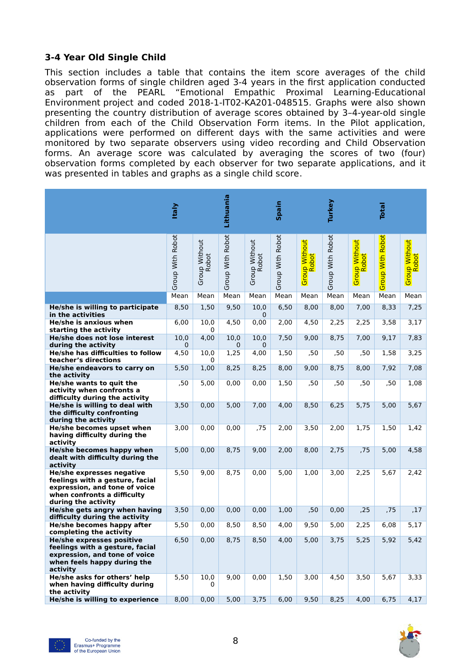## <span id="page-7-0"></span>**3-4 Year Old Single Child**

This section includes a table that contains the item score averages of the child observation forms of single children aged 3-4 years in the first application conducted<br>as part of the PEARL "Emotional Empathic Proximal Learning-Educational as part of the PEARL "Emotional Empathic Proximal Learning-Educational Environment project and coded 2018-1-IT02-KA201-048515. Graphs were also shown presenting the country distribution of average scores obtained by 3–4-year-old single children from each of the Child Observation Form items. In the Pilot application, applications were performed on different days with the same activities and were monitored by two separate observers using video recording and Child Observation forms. An average score was calculated by averaging the scores of two (four) observation forms completed by each observer for two separate applications, and it was presented in tables and graphs as a single child score.

|                                                                                                                                                     | <b>Italy</b>        |                        | Lithuania        |                        | Spain            |                               | Turkey           |                               | <b>Total</b>     |                                     |
|-----------------------------------------------------------------------------------------------------------------------------------------------------|---------------------|------------------------|------------------|------------------------|------------------|-------------------------------|------------------|-------------------------------|------------------|-------------------------------------|
|                                                                                                                                                     | Group With Robot    | Group Without<br>Robot | Group With Robot | Group Without<br>Robot | Group With Robot | <b>Group Without</b><br>Robot | Group With Robot | <b>Group Without</b><br>Robot | Group With Robot | <mark>Group Without</mark><br>Robot |
|                                                                                                                                                     | Mean                | Mean                   | Mean             | Mean                   | Mean             | Mean                          | Mean             | Mean                          | Mean             | Mean                                |
| He/she is willing to participate<br>in the activities                                                                                               | 8,50                | 1,50                   | 9,50             | 10,0<br>0              | 6,50             | 8,00                          | 8,00             | 7,00                          | 8,33             | 7,25                                |
| He/she is anxious when<br>starting the activity                                                                                                     | 6,00                | 10,0<br>0              | 4,50             | 0,00                   | 2,00             | 4,50                          | 2,25             | 2,25                          | 3,58             | 3,17                                |
| He/she does not lose interest<br>during the activity                                                                                                | 10,0<br>$\mathbf 0$ | 4,00                   | 10,0<br>$\Omega$ | 10,0<br>0              | 7,50             | 9,00                          | 8,75             | 7,00                          | 9,17             | 7,83                                |
| He/she has difficulties to follow<br>teacher's directions                                                                                           | 4,50                | 10,0<br>0              | 1,25             | 4,00                   | 1,50             | ,50                           | ,50              | ,50                           | 1,58             | 3,25                                |
| He/she endeavors to carry on<br>the activity                                                                                                        | 5,50                | 1,00                   | 8,25             | 8,25                   | 8,00             | 9,00                          | 8,75             | 8,00                          | 7,92             | 7,08                                |
| He/she wants to quit the<br>activity when confronts a<br>difficulty during the activity                                                             | ,50                 | 5,00                   | 0,00             | 0,00                   | 1,50             | ,50                           | ,50              | ,50                           | ,50              | 1,08                                |
| He/she is willing to deal with<br>the difficulty confronting<br>during the activity                                                                 | 3,50                | 0,00                   | 5,00             | 7,00                   | 4,00             | 8,50                          | 6,25             | 5,75                          | 5,00             | 5,67                                |
| <b>He/she becomes upset when</b><br>having difficulty during the<br>activity                                                                        | 3,00                | 0,00                   | 0,00             | ,75                    | 2,00             | 3,50                          | 2,00             | 1,75                          | 1,50             | 1,42                                |
| He/she becomes happy when<br>dealt with difficulty during the<br>activity                                                                           | 5,00                | 0,00                   | 8,75             | 9,00                   | 2,00             | 8,00                          | 2,75             | ,75                           | 5,00             | 4,58                                |
| He/she expresses negative<br>feelings with a gesture, facial<br>expression, and tone of voice<br>when confronts a difficulty<br>during the activity | 5,50                | 9,00                   | 8,75             | 0,00                   | 5,00             | 1,00                          | 3,00             | 2,25                          | 5,67             | 2,42                                |
| He/she gets angry when having<br>difficulty during the activity                                                                                     | 3,50                | 0,00                   | 0,00             | 0.00                   | 1,00             | ,50                           | 0,00             | ,25                           | ,75              | ,17                                 |
| He/she becomes happy after<br>completing the activity                                                                                               | 5,50                | 0,00                   | 8,50             | 8,50                   | 4,00             | 9,50                          | 5,00             | 2,25                          | 6,08             | 5,17                                |
| <b>He/she expresses positive</b><br>feelings with a gesture, facial<br>expression, and tone of voice<br>when feels happy during the<br>activity     | 6,50                | 0,00                   | 8,75             | 8,50                   | 4,00             | 5,00                          | 3,75             | 5,25                          | 5,92             | 5,42                                |
| He/she asks for others' help<br>when having difficulty during<br>the activity                                                                       | 5,50                | 10,0<br>0              | 9.00             | 0,00                   | 1,50             | 3,00                          | 4,50             | 3,50                          | 5,67             | 3,33                                |
| He/she is willing to experience                                                                                                                     | 8,00                | 0,00                   | 5,00             | 3,75                   | 6,00             | 9,50                          | 8,25             | 4,00                          | 6,75             | 4,17                                |

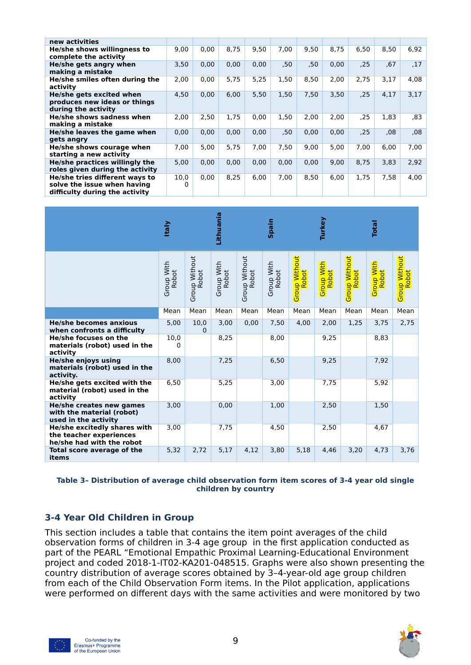| new activities                                                                                  |           |      |      |      |      |      |      |      |      |      |
|-------------------------------------------------------------------------------------------------|-----------|------|------|------|------|------|------|------|------|------|
| He/she shows willingness to<br>complete the activity                                            | 9,00      | 0,00 | 8,75 | 9,50 | 7,00 | 9.50 | 8,75 | 6,50 | 8,50 | 6,92 |
| He/she gets angry when<br>making a mistake                                                      | 3,50      | 0,00 | 0,00 | 0,00 | ,50  | ,50  | 0,00 | ,25  | .67  | ,17  |
| He/she smiles often during the<br>activity                                                      | 2,00      | 0,00 | 5,75 | 5,25 | 1,50 | 8,50 | 2,00 | 2,75 | 3,17 | 4,08 |
| He/she gets excited when<br>produces new ideas or things<br>during the activity                 | 4,50      | 0,00 | 6,00 | 5,50 | 1,50 | 7,50 | 3,50 | ,25  | 4,17 | 3,17 |
| He/she shows sadness when<br>making a mistake                                                   | 2,00      | 2,50 | 1,75 | 0,00 | 1,50 | 2.00 | 2,00 | ,25  | 1,83 | .83  |
| He/she leaves the game when<br>gets angry                                                       | 0,00      | 0,00 | 0,00 | 0,00 | ,50  | 0,00 | 0,00 | .25  | ,08  | 08   |
| He/she shows courage when<br>starting a new activity                                            | 7,00      | 5,00 | 5,75 | 7,00 | 7,50 | 9,00 | 5,00 | 7,00 | 6,00 | 7,00 |
| He/she practices willingly the<br>roles given during the activity                               | 5.00      | 0.00 | 0.00 | 0.00 | 0.00 | 0.00 | 9,00 | 8.75 | 3.83 | 2,92 |
| He/she tries different ways to<br>solve the issue when having<br>difficulty during the activity | 10,0<br>O | 0.00 | 8.25 | 6.00 | 7.00 | 8.50 | 6.00 | 1.75 | 7,58 | 4,00 |

|                                                                                      | <b>Italy</b>        |                                      | Lithuania           |                        | Spain               |                                     | Turkey                     |                                      | <b>Total</b>                      |                               |
|--------------------------------------------------------------------------------------|---------------------|--------------------------------------|---------------------|------------------------|---------------------|-------------------------------------|----------------------------|--------------------------------------|-----------------------------------|-------------------------------|
|                                                                                      | Group With<br>Robot | <b>Group Without</b><br><b>Robot</b> | Group With<br>Robot | Group Without<br>Robot | Group With<br>Robot | <mark>Group Without</mark><br>Robot | <b>Group With</b><br>Robot | <b>Group Without</b><br><b>Robot</b> | <b>Group With</b><br><b>Robot</b> | <b>Group Without</b><br>Robot |
|                                                                                      | Mean                | Mean                                 | Mean                | Mean                   | Mean                | Mean                                | Mean                       | Mean                                 | Mean                              | Mean                          |
| <b>He/she becomes anxious</b><br>when confronts a difficulty                         | 5,00                | 10,0<br>$\Omega$                     | 3.00                | 0.00                   | 7,50                | 4.00                                | 2,00                       | 1,25                                 | 3,75                              | 2,75                          |
| He/she focuses on the<br>materials (robot) used in the<br>activity                   | 10,0<br>0           |                                      | 8,25                |                        | 8,00                |                                     | 9,25                       |                                      | 8,83                              |                               |
| He/she enjoys using<br>materials (robot) used in the<br>activity.                    | 8,00                |                                      | 7,25                |                        | 6,50                |                                     | 9,25                       |                                      | 7,92                              |                               |
| He/she gets excited with the<br>material (robot) used in the<br>activity             | 6,50                |                                      | 5,25                |                        | 3,00                |                                     | 7,75                       |                                      | 5,92                              |                               |
| He/she creates new games<br>with the material (robot)<br>used in the activity        | 3,00                |                                      | 0,00                |                        | 1,00                |                                     | 2,50                       |                                      | 1,50                              |                               |
| He/she excitedly shares with<br>the teacher experiences<br>he/she had with the robot | 3,00                |                                      | 7,75                |                        | 4,50                |                                     | 2,50                       |                                      | 4.67                              |                               |
| Total score average of the<br>items                                                  | 5,32                | 2,72                                 | 5,17                | 4,12                   | 3,80                | 5,18                                | 4,46                       | 3,20                                 | 4,73                              | 3,76                          |

#### **Table 3– Distribution of average child observation form item scores of 3-4 year old single children by country**

#### <span id="page-8-0"></span>**3-4 Year Old Children in Group**

This section includes a table that contains the item point averages of the child observation forms of children in 3-4 age group in the first application conducted as part of the PEARL "Emotional Empathic Proximal Learning-Educational Environment project and coded 2018-1-IT02-KA201-048515. Graphs were also shown presenting the country distribution of average scores obtained by 3–4-year-old age group children from each of the Child Observation Form items. In the Pilot application, applications were performed on different days with the same activities and were monitored by two





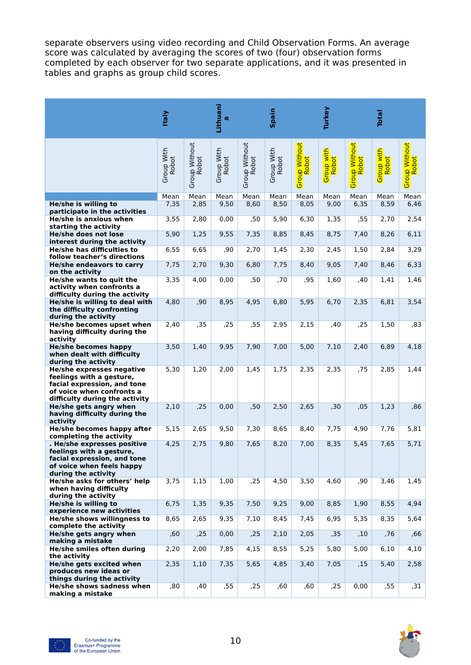separate observers using video recording and Child Observation Forms. An average score was calculated by averaging the scores of two (four) observation forms completed by each observer for two separate applications, and it was presented in tables and graphs as group child scores.

|                                                                                             | <b>Italy</b>        |                        | Lithuani<br>$\sigma$ |                        | Spain               |                        | Turkey              |                                     | <b>Total</b>               |                        |
|---------------------------------------------------------------------------------------------|---------------------|------------------------|----------------------|------------------------|---------------------|------------------------|---------------------|-------------------------------------|----------------------------|------------------------|
|                                                                                             | Group With<br>Robot | Group Without<br>Robot | Group With<br>Robot  | Group Without<br>Robot | Group With<br>Robot | Group Without<br>Robot | Group with<br>Robot | <mark>Group Without</mark><br>Robot | Group with<br><b>Robot</b> | Group Without<br>Robot |
|                                                                                             | Mean                | Mean                   | Mean                 | Mean                   | Mean                | Mean                   | Mean                | Mean                                | Mean                       | Mean                   |
| He/she is willing to<br>participate in the activities                                       | 7,35                | 2,85                   | 9,50                 | 8,60                   | 8,50                | 8,05                   | 9,00                | 6,35                                | 8,59                       | 6,46                   |
| He/she is anxious when                                                                      | 3,55                | 2,80                   | 0,00                 | ,50                    | 5,90                | 6,30                   | 1,35                | ,55                                 | 2,70                       | 2,54                   |
| starting the activity<br>He/she does not lose                                               | 5,90                | 1,25                   | 9,55                 | 7,35                   | 8,85                | 8,45                   | 8,75                | 7,40                                | 8,26                       | 6,11                   |
| interest during the activity                                                                |                     |                        |                      |                        |                     |                        |                     |                                     |                            |                        |
| He/she has difficulties to                                                                  | 6,55                | 6,65                   | ,90                  | 2,70                   | 1,45                | 2,30                   | 2,45                | 1,50                                | 2,84                       | 3,29                   |
| follow teacher's directions<br>He/she endeavors to carry                                    | 7,75                | 2,70                   | 9,30                 | 6,80                   | 7,75                | 8,40                   | 9,05                | 7,40                                | 8,46                       | 6,33                   |
| on the activity                                                                             |                     |                        |                      |                        |                     |                        |                     |                                     |                            |                        |
| He/she wants to quit the<br>activity when confronts a                                       | 3,35                | 4,00                   | 0,00                 | ,50                    | ,70                 | ,95                    | 1,60                | ,40                                 | 1,41                       | 1,46                   |
| difficulty during the activity                                                              |                     |                        |                      |                        |                     |                        |                     |                                     |                            |                        |
| He/she is willing to deal with<br>the difficulty confronting                                | 4,80                | ,90                    | 8,95                 | 4,95                   | 6,80                | 5,95                   | 6,70                | 2,35                                | 6,81                       | 3,54                   |
| during the activity<br>He/she becomes upset when                                            | 2,40                | ,35                    | ,25                  | ,55                    | 2,95                | 2,15                   | ,40                 | ,25                                 | 1,50                       | ,83                    |
| having difficulty during the                                                                |                     |                        |                      |                        |                     |                        |                     |                                     |                            |                        |
| activity<br><b>He/she becomes happy</b>                                                     | 3,50                | 1,40                   | 9,95                 | 7,90                   | 7,00                | 5,00                   | 7,10                | 2,40                                | 6,89                       | 4,18                   |
| when dealt with difficulty<br>during the activity                                           |                     |                        |                      |                        |                     |                        |                     |                                     |                            |                        |
| <b>He/she expresses negative</b><br>feelings with a gesture,<br>facial expression, and tone | 5,30                | 1,20                   | 2,00                 | 1,45                   | 1,75                | 2,35                   | 2,35                | ,75                                 | 2,85                       | 1,44                   |
| of voice when confronts a<br>difficulty during the activity                                 |                     |                        |                      |                        |                     |                        |                     |                                     |                            |                        |
| He/she gets angry when<br>having difficulty during the<br>activity                          | 2,10                | ,25                    | 0,00                 | ,50                    | 2,50                | 2,65                   | , 30                | ,05                                 | 1,23                       | ,86                    |
| He/she becomes happy after<br>completing the activity                                       | 5,15                | 2,65                   | 9,50                 | 7,30                   | 8,65                | 8,40                   | 7,75                | 4,90                                | 7,76                       | 5,81                   |
| . He/she expresses positive<br>feelings with a gesture,                                     | 4,25                | 2,75                   | 9,80                 | 7,65                   | 8,20                | 7,00                   | 8,35                | 5,45                                | 7,65                       | 5,71                   |
| facial expression, and tone<br>of voice when feels happy<br>during the activity             |                     |                        |                      |                        |                     |                        |                     |                                     |                            |                        |
| He/she asks for others' help<br>when having difficulty<br>during the activity               | 3,75                | 1,15                   | 1,00                 | ,25                    | 4,50                | 3,50                   | 4,60                | ,90                                 | 3,46                       | 1,45                   |
| He/she is willing to<br>experience new activities                                           | 6,75                | 1,35                   | 9,35                 | 7,50                   | 9,25                | 9,00                   | 8,85                | 1,90                                | 8,55                       | 4,94                   |
| He/she shows willingness to                                                                 | 8,65                | 2,65                   | 9,35                 | 7,10                   | 8,45                | 7,45                   | 6,95                | 5,35                                | 8,35                       | 5,64                   |
| complete the activity<br>He/she gets angry when                                             | ,60                 | ,25                    | 0,00                 | ,25                    | 2,10                | 2,05                   | ,35                 | ,10                                 | ,76                        | ,66                    |
| making a mistake<br>He/she smiles often during                                              | 2,20                | 2,00                   | 7,85                 | 4,15                   | 8,55                | 5,25                   | 5,80                | 5,00                                | 6,10                       | 4,10                   |
| the activity<br>He/she gets excited when                                                    | 2,35                | 1,10                   | 7,35                 | 5,65                   | 4,85                | 3,40                   | 7,05                | ,15                                 | 5,40                       | 2,58                   |
| produces new ideas or<br>things during the activity                                         |                     |                        |                      |                        |                     |                        |                     |                                     |                            |                        |
| <b>He/she shows sadness when</b><br>making a mistake                                        | ,80                 | ,40                    | ,55                  | ,25                    | ,60                 | ,60                    | ,25                 | 0,00                                | ,55                        | ,31                    |

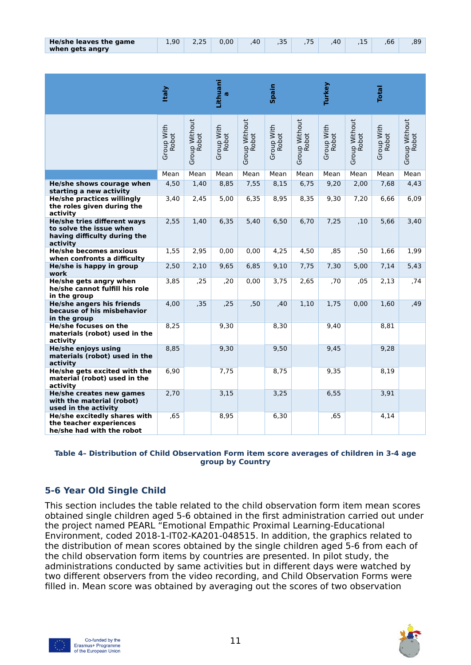| He/she leaves the game | 00 <sup>1</sup> | 0.00 | 40 |  | 40 | .66 | .89 |
|------------------------|-----------------|------|----|--|----|-----|-----|
| when gets angry        |                 |      |    |  |    |     |     |

|                                                                                                    | <b>Italy</b>        |                        | Lithuani<br><b>IQ</b> |                        | Spain               |                        | Turkey              |                        | <b>Total</b>        |                        |
|----------------------------------------------------------------------------------------------------|---------------------|------------------------|-----------------------|------------------------|---------------------|------------------------|---------------------|------------------------|---------------------|------------------------|
|                                                                                                    | Group With<br>Robot | Group Without<br>Robot | Group With<br>Robot   | Group Without<br>Robot | Group With<br>Robot | Group Without<br>Robot | Group With<br>Robot | Group Without<br>Robot | Group With<br>Robot | Group Without<br>Robot |
|                                                                                                    | Mean                | Mean                   | Mean                  | Mean                   | Mean                | Mean                   | Mean                | Mean                   | Mean                | Mean                   |
| He/she shows courage when<br>starting a new activity                                               | 4,50                | 1,40                   | 8,85                  | 7,55                   | 8,15                | 6,75                   | 9,20                | 2,00                   | 7,68                | 4,43                   |
| <b>He/she practices willingly</b><br>the roles given during the<br>activity                        | 3,40                | 2,45                   | 5,00                  | 6,35                   | 8,95                | 8,35                   | 9,30                | 7,20                   | 6,66                | 6,09                   |
| He/she tries different ways<br>to solve the issue when<br>having difficulty during the<br>activity | 2,55                | 1,40                   | 6,35                  | 5,40                   | 6,50                | 6,70                   | 7,25                | ,10                    | 5,66                | 3,40                   |
| <b>He/she becomes anxious</b><br>when confronts a difficulty                                       | 1,55                | 2,95                   | 0.00                  | 0.00                   | 4,25                | 4,50                   | .85                 | ,50                    | 1.66                | 1,99                   |
| He/she is happy in group<br>work                                                                   | 2,50                | 2,10                   | 9,65                  | 6,85                   | 9,10                | 7,75                   | 7,30                | 5.00                   | 7,14                | 5,43                   |
| He/she gets angry when<br>he/she cannot fulfill his role<br>in the group                           | 3,85                | ,25                    | ,20                   | 0,00                   | 3,75                | 2,65                   | ,70                 | ,05                    | 2,13                | ,74                    |
| <b>He/she angers his friends</b><br>because of his misbehavior<br>in the group                     | 4,00                | , 35                   | ,25                   | ,50                    | ,40                 | 1,10                   | 1,75                | 0,00                   | 1,60                | ,49                    |
| He/she focuses on the<br>materials (robot) used in the<br>activity                                 | 8,25                |                        | 9,30                  |                        | 8,30                |                        | 9,40                |                        | 8,81                |                        |
| <b>He/she enjoys using</b><br>materials (robot) used in the<br>activity                            | 8,85                |                        | 9,30                  |                        | 9,50                |                        | 9,45                |                        | 9,28                |                        |
| He/she gets excited with the<br>material (robot) used in the<br>activity                           | 6,90                |                        | 7,75                  |                        | 8,75                |                        | 9,35                |                        | 8,19                |                        |
| He/she creates new games<br>with the material (robot)<br>used in the activity                      | 2,70                |                        | 3,15                  |                        | 3,25                |                        | 6,55                |                        | 3,91                |                        |
| He/she excitedly shares with<br>the teacher experiences<br>he/she had with the robot               | .65                 |                        | 8,95                  |                        | 6,30                |                        | ,65                 |                        | 4,14                |                        |

#### **Table 4– Distribution of Child Observation Form item score averages of children in 3-4 age group by Country**

## <span id="page-10-0"></span>**5-6 Year Old Single Child**

This section includes the table related to the child observation form item mean scores obtained single children aged 5-6 obtained in the first administration carried out under the project named PEARL "Emotional Empathic Proximal Learning-Educational Environment, coded 2018-1-IT02-KA201-048515. In addition, the graphics related to the distribution of mean scores obtained by the single children aged 5-6 from each of the child observation form items by countries are presented. In pilot study, the administrations conducted by same activities but in different days were watched by two different observers from the video recording, and Child Observation Forms were filled in. Mean score was obtained by averaging out the scores of two observation



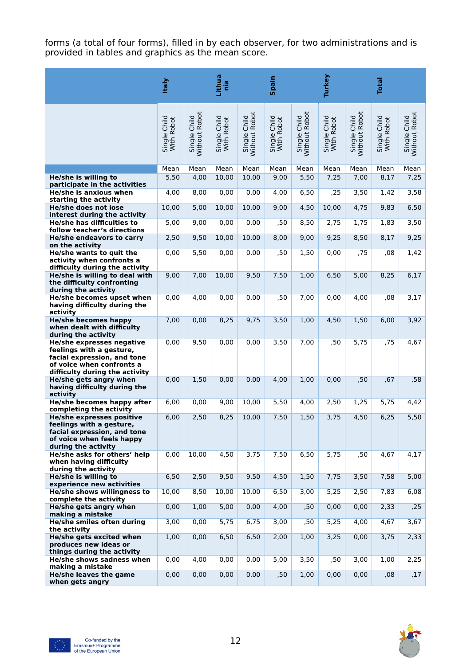forms (a total of four forms), filled in by each observer, for two administrations and is provided in tables and graphics as the mean score.

|                                                                  | <b>Italy</b>               |                               | Lithua<br>nia              |                               | <b>Spain</b>               |                               | Turkey                     |                               | <b>Total</b>               |                               |
|------------------------------------------------------------------|----------------------------|-------------------------------|----------------------------|-------------------------------|----------------------------|-------------------------------|----------------------------|-------------------------------|----------------------------|-------------------------------|
|                                                                  | Single Child<br>With Robot | Single Child<br>Without Robot | Single Child<br>With Robot | Without Robot<br>Single Child | Single Child<br>With Robot | Single Child<br>Without Robot | Single Child<br>With Robot | Without Robot<br>Single Child | Single Child<br>With Robot | Single Child<br>Without Robot |
|                                                                  | Mean                       | Mean                          | Mean                       | Mean                          | Mean                       | Mean                          | Mean                       | Mean                          | Mean                       | Mean                          |
| He/she is willing to<br>participate in the activities            | 5,50                       | 4,00                          | 10,00                      | 10,00                         | 9,00                       | 5,50                          | 7,25                       | 7,00                          | 8,17                       | 7,25                          |
| He/she is anxious when                                           | 4,00                       | 8,00                          | 0,00                       | 0,00                          | 4,00                       | 6,50                          | ,25                        | 3,50                          | 1,42                       | 3,58                          |
| starting the activity<br>He/she does not lose                    | 10,00                      | 5,00                          | 10,00                      | 10,00                         | 9,00                       | 4,50                          | 10,00                      | 4,75                          | 9,83                       | 6,50                          |
| interest during the activity                                     |                            |                               |                            |                               |                            |                               |                            |                               |                            |                               |
| He/she has difficulties to<br>follow teacher's directions        | 5,00                       | 9,00                          | 0,00                       | 0,00                          | ,50                        | 8,50                          | 2,75                       | 1,75                          | 1,83                       | 3,50                          |
| He/she endeavors to carry                                        | 2,50                       | 9,50                          | 10,00                      | 10,00                         | 8,00                       | 9,00                          | 9,25                       | 8,50                          | 8,17                       | 9,25                          |
| on the activity<br>He/she wants to quit the                      | 0,00                       | 5,50                          | 0,00                       | 0,00                          | ,50                        | 1,50                          | 0,00                       | ,75                           | ,08                        | 1,42                          |
| activity when confronts a                                        |                            |                               |                            |                               |                            |                               |                            |                               |                            |                               |
| difficulty during the activity<br>He/she is willing to deal with | 9,00                       | 7,00                          | 10,00                      | 9,50                          | 7,50                       | 1,00                          | 6,50                       | 5,00                          | 8,25                       | 6,17                          |
| the difficulty confronting                                       |                            |                               |                            |                               |                            |                               |                            |                               |                            |                               |
| during the activity<br>He/she becomes upset when                 | 0,00                       | 4,00                          | 0,00                       | 0,00                          | ,50                        | 7,00                          | 0,00                       | 4,00                          | ,08                        | 3,17                          |
| having difficulty during the                                     |                            |                               |                            |                               |                            |                               |                            |                               |                            |                               |
| activity<br><b>He/she becomes happy</b>                          | 7,00                       | 0,00                          | 8,25                       | 9,75                          | 3,50                       | 1,00                          | 4,50                       | 1,50                          | 6,00                       | 3,92                          |
| when dealt with difficulty                                       |                            |                               |                            |                               |                            |                               |                            |                               |                            |                               |
| during the activity<br>He/she expresses negative                 | 0,00                       | 9,50                          | 0,00                       | 0,00                          | 3,50                       | 7,00                          | ,50                        | 5,75                          | ,75                        | 4,67                          |
| feelings with a gesture,<br>facial expression, and tone          |                            |                               |                            |                               |                            |                               |                            |                               |                            |                               |
| of voice when confronts a                                        |                            |                               |                            |                               |                            |                               |                            |                               |                            |                               |
| difficulty during the activity<br>He/she gets angry when         | 0,00                       | 1,50                          | 0,00                       | 0,00                          | 4,00                       | 1,00                          | 0,00                       | ,50                           | ,67                        | ,58                           |
| having difficulty during the                                     |                            |                               |                            |                               |                            |                               |                            |                               |                            |                               |
| activity<br>He/she becomes happy after                           | 6,00                       | 0,00                          | 9,00                       | 10,00                         | 5,50                       | 4,00                          | 2,50                       | 1,25                          | 5,75                       | 4,42                          |
| completing the activity                                          |                            |                               |                            |                               |                            |                               |                            |                               |                            |                               |
| <b>He/she expresses positive</b><br>feelings with a gesture,     | 6,00                       | 2,50                          | 8,25                       | 10,00                         | 7,50                       | 1,50                          | 3,75                       | 4,50                          | 6,25                       | 5,50                          |
| facial expression, and tone<br>of voice when feels happy         |                            |                               |                            |                               |                            |                               |                            |                               |                            |                               |
| during the activity                                              |                            |                               |                            |                               |                            |                               |                            |                               |                            |                               |
| He/she asks for others' help<br>when having difficulty           | 0,00                       | 10,00                         | 4,50                       | 3,75                          | 7,50                       | 6,50                          | 5,75                       | ,50                           | 4,67                       | 4,17                          |
| during the activity                                              |                            |                               |                            |                               |                            |                               |                            |                               |                            |                               |
| He/she is willing to<br>experience new activities                | 6,50                       | 2,50                          | 9,50                       | 9,50                          | 4,50                       | 1,50                          | 7,75                       | 3,50                          | 7,58                       | 5,00                          |
| He/she shows willingness to                                      | 10,00                      | 8,50                          | 10,00                      | 10,00                         | 6,50                       | 3,00                          | 5,25                       | 2,50                          | 7,83                       | 6,08                          |
| complete the activity<br>He/she gets angry when                  | 0,00                       | 1,00                          | 5,00                       | 0,00                          | 4,00                       | ,50                           | 0,00                       | 0,00                          | 2,33                       | ,25                           |
| making a mistake                                                 |                            |                               |                            |                               |                            |                               |                            |                               |                            |                               |
| He/she smiles often during<br>the activity                       | 3,00                       | 0,00                          | 5,75                       | 6,75                          | 3,00                       | ,50                           | 5,25                       | 4,00                          | 4,67                       | 3,67                          |
| He/she gets excited when                                         | 1,00                       | 0,00                          | 6,50                       | 6,50                          | 2,00                       | 1,00                          | 3,25                       | 0,00                          | 3,75                       | 2,33                          |
| produces new ideas or<br>things during the activity              |                            |                               |                            |                               |                            |                               |                            |                               |                            |                               |
| He/she shows sadness when                                        | 0,00                       | 4,00                          | 0,00                       | 0,00                          | 5,00                       | 3,50                          | ,50                        | 3,00                          | 1,00                       | 2,25                          |
| making a mistake<br>He/she leaves the game                       | 0,00                       | 0,00                          | 0,00                       | 0,00                          | ,50                        | 1,00                          | 0,00                       | 0,00                          | ,08                        | ,17                           |
| when gets angry                                                  |                            |                               |                            |                               |                            |                               |                            |                               |                            |                               |

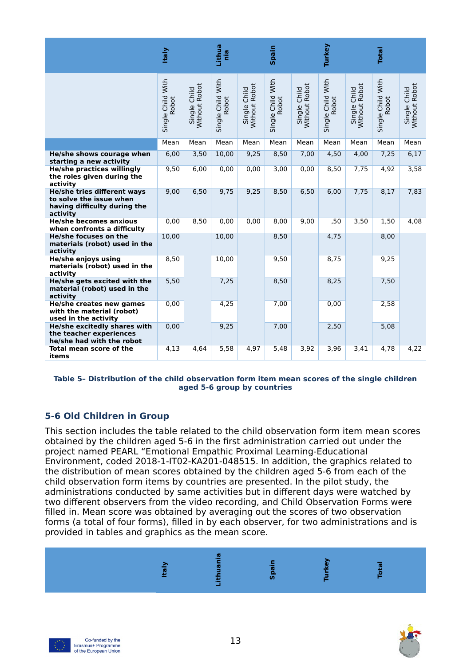|                                                                                                    | <b>Italy</b>               |                               | Lithua<br>ein              |                                    | Spain                      |                               | Turkey                     |                               | <b>Total</b>               |                               |
|----------------------------------------------------------------------------------------------------|----------------------------|-------------------------------|----------------------------|------------------------------------|----------------------------|-------------------------------|----------------------------|-------------------------------|----------------------------|-------------------------------|
|                                                                                                    | Single Child With<br>Robot | Single Child<br>Without Robot | Single Child With<br>Robot | Without Robot<br>Child<br>Single ( | Single Child With<br>Robot | Without Robot<br>Single Child | Single Child With<br>Robot | Without Robot<br>Single Child | Single Child With<br>Robot | Without Robot<br>Single Child |
|                                                                                                    | Mean                       | Mean                          | Mean                       | Mean                               | Mean                       | Mean                          | Mean                       | Mean                          | Mean                       | Mean                          |
| He/she shows courage when<br>starting a new activity                                               | 6,00                       | 3,50                          | 10,00                      | 9,25                               | 8,50                       | 7,00                          | 4,50                       | 4.00                          | 7,25                       | 6,17                          |
| <b>He/she practices willingly</b><br>the roles given during the<br>activity                        | 9,50                       | 6,00                          | 0,00                       | 0,00                               | 3,00                       | 0,00                          | 8,50                       | 7,75                          | 4,92                       | 3,58                          |
| He/she tries different ways<br>to solve the issue when<br>having difficulty during the<br>activity | 9,00                       | 6,50                          | 9,75                       | 9,25                               | 8,50                       | 6,50                          | 6,00                       | 7,75                          | 8,17                       | 7,83                          |
| <b>He/she becomes anxious</b><br>when confronts a difficulty                                       | 0,00                       | 8,50                          | 0,00                       | 0,00                               | 8,00                       | 9,00                          | ,50                        | 3,50                          | 1,50                       | 4,08                          |
| He/she focuses on the<br>materials (robot) used in the<br>activity                                 | 10,00                      |                               | 10,00                      |                                    | 8,50                       |                               | 4,75                       |                               | 8,00                       |                               |
| He/she enjoys using<br>materials (robot) used in the<br>activity                                   | 8,50                       |                               | 10,00                      |                                    | 9,50                       |                               | 8,75                       |                               | 9,25                       |                               |
| He/she gets excited with the<br>material (robot) used in the<br>activity                           | 5,50                       |                               | 7,25                       |                                    | 8,50                       |                               | 8,25                       |                               | 7,50                       |                               |
| He/she creates new games<br>with the material (robot)<br>used in the activity                      | 0,00                       |                               | 4,25                       |                                    | 7,00                       |                               | 0,00                       |                               | 2,58                       |                               |
| He/she excitedly shares with<br>the teacher experiences<br>he/she had with the robot               | 0,00                       |                               | 9,25                       |                                    | 7,00                       |                               | 2,50                       |                               | 5,08                       |                               |
| Total mean score of the<br>items                                                                   | 4,13                       | 4,64                          | 5,58                       | 4,97                               | 5,48                       | 3,92                          | 3,96                       | 3,41                          | 4,78                       | 4,22                          |

#### **Table 5– Distribution of the child observation form item mean scores of the single children aged 5-6 group by countries**

## <span id="page-12-0"></span>**5-6 Old Children in Group**

This section includes the table related to the child observation form item mean scores obtained by the children aged 5-6 in the first administration carried out under the project named PEARL "Emotional Empathic Proximal Learning-Educational Environment, coded 2018-1-IT02-KA201-048515. In addition, the graphics related to the distribution of mean scores obtained by the children aged 5-6 from each of the child observation form items by countries are presented. In the pilot study, the administrations conducted by same activities but in different days were watched by two different observers from the video recording, and Child Observation Forms were filled in. Mean score was obtained by averaging out the scores of two observation forms (a total of four forms), filled in by each observer, for two administrations and is provided in tables and graphics as the mean score.





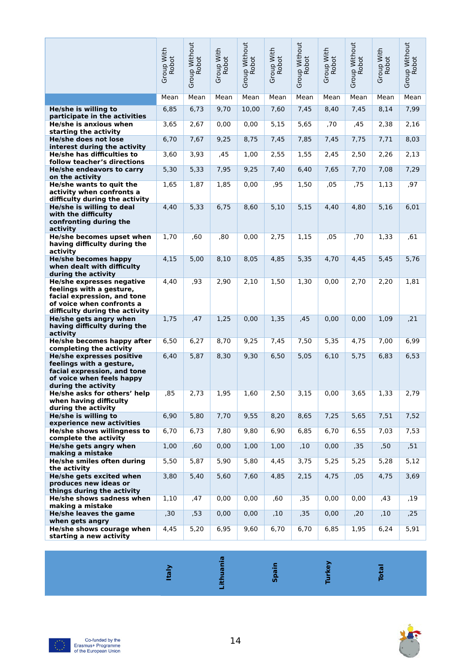|                                                                                                             | Group With<br>Robot | Group Without<br>Robot | Group With<br>Robot | Group Without<br>Robot | Group With<br>Robot | Group Without<br><b>Robot</b> | Group With<br>Robot | Group Without<br>Robot | Group With<br>Robot | Group Without<br>Robot |
|-------------------------------------------------------------------------------------------------------------|---------------------|------------------------|---------------------|------------------------|---------------------|-------------------------------|---------------------|------------------------|---------------------|------------------------|
|                                                                                                             | Mean                | Mean                   | Mean                | Mean                   | Mean                | Mean                          | Mean                | Mean                   | Mean                | Mean                   |
| He/she is willing to                                                                                        | 6,85                | 6,73                   | 9,70                | 10,00                  | 7,60                | 7,45                          | 8,40                | 7,45                   | 8,14                | 7,99                   |
| participate in the activities<br>He/she is anxious when                                                     | 3,65                | 2,67                   | 0,00                | 0,00                   | 5,15                | 5,65                          | ,70                 | ,45                    | 2,38                | 2,16                   |
| starting the activity                                                                                       |                     |                        |                     |                        |                     |                               |                     |                        |                     |                        |
| He/she does not lose<br>interest during the activity                                                        | 6,70                | 7,67                   | 9,25                | 8,75                   | 7,45                | 7,85                          | 7,45                | 7,75                   | 7,71                | 8,03                   |
| He/she has difficulties to<br>follow teacher's directions                                                   | 3,60                | 3,93                   | ,45                 | 1,00                   | 2,55                | 1,55                          | 2,45                | 2,50                   | 2,26                | 2,13                   |
| He/she endeavors to carry                                                                                   | 5,30                | 5,33                   | 7,95                | 9,25                   | 7,40                | 6,40                          | 7,65                | 7,70                   | 7,08                | 7,29                   |
| on the activity<br>He/she wants to quit the                                                                 | 1,65                | 1,87                   | 1,85                | 0,00                   | ,95                 | 1,50                          | ,05                 | ,75                    | 1,13                | ,97                    |
| activity when confronts a                                                                                   |                     |                        |                     |                        |                     |                               |                     |                        |                     |                        |
| difficulty during the activity<br>He/she is willing to deal                                                 | 4,40                | 5,33                   | 6,75                | 8,60                   | 5,10                | 5,15                          | 4,40                | 4,80                   | 5,16                | 6,01                   |
| with the difficulty<br>confronting during the                                                               |                     |                        |                     |                        |                     |                               |                     |                        |                     |                        |
| activity                                                                                                    |                     |                        |                     |                        |                     |                               |                     |                        |                     |                        |
| He/she becomes upset when<br>having difficulty during the<br>activity                                       | 1,70                | ,60                    | ,80                 | 0,00                   | 2,75                | 1,15                          | ,05                 | ,70                    | 1,33                | ,61                    |
| <b>He/she becomes happy</b><br>when dealt with difficulty                                                   | 4,15                | 5,00                   | 8,10                | 8,05                   | 4,85                | 5,35                          | 4,70                | 4,45                   | 5,45                | 5,76                   |
| during the activity<br>He/she expresses negative                                                            | 4,40                | ,93                    | 2,90                | 2,10                   | 1,50                | 1,30                          | 0,00                | 2,70                   | 2,20                | 1,81                   |
| feelings with a gesture,<br>facial expression, and tone<br>of voice when confronts a                        |                     |                        |                     |                        |                     |                               |                     |                        |                     |                        |
| difficulty during the activity                                                                              |                     |                        |                     |                        |                     |                               |                     |                        |                     |                        |
| He/she gets angry when<br>having difficulty during the<br>activity                                          | 1,75                | ,47                    | 1,25                | 0,00                   | 1,35                | ,45                           | 0,00                | 0,00                   | 1,09                | , 21                   |
| He/she becomes happy after<br>completing the activity                                                       | 6,50                | 6,27                   | 8,70                | 9,25                   | 7,45                | 7,50                          | 5,35                | 4,75                   | 7,00                | 6,99                   |
| He/she expresses positive                                                                                   | 6,40                | 5,87                   | 8,30                | 9,30                   | 6,50                | 5,05                          | 6,10                | 5,75                   | 6,83                | 6,53                   |
| feelings with a gesture,<br>facial expression, and tone<br>of voice when feels happy<br>during the activity |                     |                        |                     |                        |                     |                               |                     |                        |                     |                        |
| He/she asks for others' help<br>when having difficulty                                                      | ,85                 | 2,73                   | 1,95                | 1,60                   | 2,50                | 3,15                          | 0,00                | 3,65                   | 1,33                | 2,79                   |
| during the activity<br>He/she is willing to                                                                 | 6,90                | 5,80                   | 7,70                | 9,55                   | 8,20                | 8,65                          | 7,25                | 5,65                   | 7,51                | 7,52                   |
| experience new activities<br>He/she shows willingness to<br>complete the activity                           | 6,70                | 6,73                   | 7,80                | 9,80                   | 6,90                | 6,85                          | 6,70                | 6,55                   | 7,03                | 7,53                   |
| He/she gets angry when                                                                                      | 1,00                | ,60                    | 0,00                | 1,00                   | 1,00                | ,10                           | 0,00                | ,35                    | ,50                 | , 51                   |
| making a mistake<br>He/she smiles often during                                                              | 5,50                | 5,87                   | 5,90                | 5,80                   | 4,45                | 3,75                          | 5,25                | 5,25                   | 5,28                | 5,12                   |
| the activity<br>He/she gets excited when                                                                    | 3,80                | 5,40                   | 5,60                | 7,60                   | 4,85                | 2,15                          | 4,75                | ,05                    | 4,75                | 3,69                   |
| produces new ideas or<br>things during the activity                                                         |                     |                        |                     |                        |                     |                               |                     |                        |                     |                        |
| He/she shows sadness when                                                                                   | 1,10                | ,47                    | 0,00                | 0,00                   | ,60                 | ,35                           | 0,00                | 0,00                   | ,43                 | ,19                    |
| making a mistake<br>He/she leaves the game                                                                  | ,30                 | , 53                   | 0,00                | 0,00                   | ,10                 | ,35                           | 0,00                | ,20                    | ,10                 | ,25                    |
| when gets angry                                                                                             |                     |                        |                     |                        |                     |                               |                     |                        |                     |                        |
| He/she shows courage when<br>starting a new activity                                                        | 4,45                | 5,20                   | 6,95                | 9,60                   | 6,70                | 6,70                          | 6,85                | 1,95                   | 6,24                | 5,91                   |



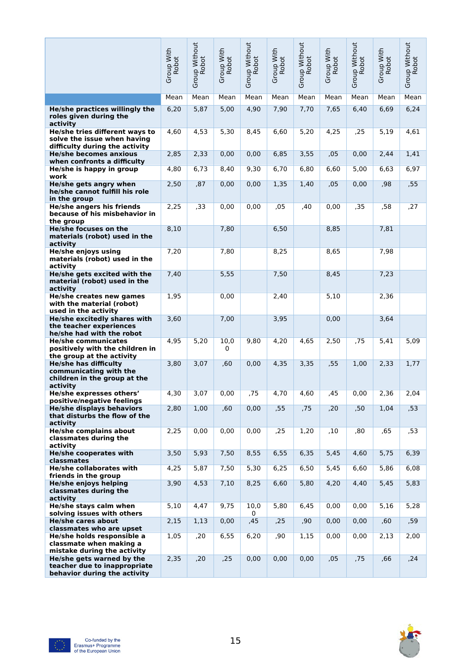|                                                                                                                          | Group With<br>Robot | Group Without<br>Robot | Group With<br>Robot | Group Without<br>Robot | Group With<br>Robot | Group Without<br>Robot | Group With<br>Robot | Group Without<br>Robot | Group With<br>Robot | Group Without<br>Robot |
|--------------------------------------------------------------------------------------------------------------------------|---------------------|------------------------|---------------------|------------------------|---------------------|------------------------|---------------------|------------------------|---------------------|------------------------|
|                                                                                                                          | Mean                | Mean                   | Mean                | Mean                   | Mean                | Mean                   | Mean                | Mean                   | Mean                | Mean                   |
| He/she practices willingly the<br>roles given during the<br>activity                                                     | 6,20                | 5,87                   | 5,00                | 4,90                   | 7,90                | 7,70                   | 7,65                | 6,40                   | 6,69                | 6,24                   |
| He/she tries different ways to<br>solve the issue when having<br>difficulty during the activity                          | 4,60                | 4,53                   | 5,30                | 8,45                   | 6,60                | 5,20                   | 4,25                | ,25                    | 5,19                | 4,61                   |
| <b>He/she becomes anxious</b><br>when confronts a difficulty                                                             | 2,85                | 2,33                   | 0,00                | 0,00                   | 6,85                | 3,55                   | ,05                 | 0,00                   | 2,44                | 1,41                   |
| He/she is happy in group<br>work                                                                                         | 4,80                | 6,73                   | 8,40                | 9,30                   | 6,70                | 6,80                   | 6,60                | 5,00                   | 6,63                | 6,97                   |
| He/she gets angry when<br>he/she cannot fulfill his role<br>in the group                                                 | 2,50                | ,87                    | 0,00                | 0,00                   | 1,35                | 1,40                   | ,05                 | 0,00                   | ,98                 | ,55                    |
| <b>He/she angers his friends</b><br>because of his misbehavior in<br>the group                                           | 2,25                | ,33                    | 0,00                | 0,00                   | ,05                 | ,40                    | 0,00                | ,35                    | ,58                 | ,27                    |
| He/she focuses on the<br>materials (robot) used in the<br>activity                                                       | 8,10                |                        | 7,80                |                        | 6,50                |                        | 8,85                |                        | 7,81                |                        |
| He/she enjoys using<br>materials (robot) used in the<br>activity                                                         | 7,20                |                        | 7,80                |                        | 8,25                |                        | 8,65                |                        | 7,98                |                        |
| He/she gets excited with the<br>material (robot) used in the<br>activity                                                 | 7,40                |                        | 5,55                |                        | 7,50                |                        | 8,45                |                        | 7,23                |                        |
| He/she creates new games<br>with the material (robot)<br>used in the activity                                            | 1,95                |                        | 0,00                |                        | 2,40                |                        | 5,10                |                        | 2,36                |                        |
| He/she excitedly shares with<br>the teacher experiences<br>he/she had with the robot                                     | 3,60                |                        | 7,00                |                        | 3,95                |                        | 0,00                |                        | 3,64                |                        |
| <b>He/she communicates</b><br>positively with the children in<br>the group at the activity                               | 4,95                | 5,20                   | 10,0<br>0           | 9,80                   | 4,20                | 4,65                   | 2,50                | ,75                    | 5,41                | 5,09                   |
| <b>He/she has difficulty</b><br>communicating with the<br>children in the group at the<br>activity                       | 3,80                | 3,07                   | ,60                 | 0,00                   | 4,35                | 3,35                   | ,55                 | 1,00                   | 2,33                | 1,77                   |
| He/she expresses others'<br>positive/negative feelings                                                                   | 4,30                | 3,07                   | 0,00                | ,75                    | 4,70                | 4,60                   | ,45                 | 0,00                   | 2,36                | 2,04                   |
| <b>He/she displays behaviors</b><br>that disturbs the flow of the<br>activity                                            | 2,80                | 1,00                   | ,60                 | 0,00                   | ,55                 | ,75                    | ,20                 | ,50                    | 1,04                | ,53                    |
| <b>He/she complains about</b><br>classmates during the<br>activity                                                       | 2,25                | 0,00                   | 0,00                | 0,00                   | ,25                 | 1,20                   | ,10                 | ,80                    | ,65                 | ,53                    |
| He/she cooperates with<br>classmates                                                                                     | 3,50                | 5,93                   | 7,50                | 8,55                   | 6,55                | 6,35                   | 5,45                | 4.60                   | 5,75                | 6,39                   |
| <b>He/she collaborates with</b><br>friends in the group                                                                  | 4,25                | 5,87                   | 7,50                | 5,30                   | 6,25                | 6,50                   | 5,45                | 6,60                   | 5,86                | 6,08                   |
| <b>He/she enjoys helping</b><br>classmates during the<br>activity                                                        | 3,90                | 4,53                   | 7,10                | 8,25                   | 6.60                | 5,80                   | 4,20                | 4,40                   | 5,45                | 5,83                   |
| He/she stays calm when<br>solving issues with others                                                                     | 5,10                | 4,47                   | 9,75                | 10,0<br>0              | 5,80                | 6,45                   | 0,00                | 0,00                   | 5,16                | 5,28                   |
| <b>He/she cares about</b>                                                                                                | 2,15                | 1,13                   | 0,00                | ,45                    | ,25                 | ,90                    | 0,00                | 0,00                   | ,60                 | ,59                    |
| classmates who are upset<br>He/she holds responsible a<br>classmate when making a                                        | 1,05                | ,20                    | 6,55                | 6,20                   | ,90                 | 1,15                   | 0,00                | 0,00                   | 2,13                | 2,00                   |
| mistake during the activity<br>He/she gets warned by the<br>teacher due to inappropriate<br>behavior during the activity | 2,35                | ,20                    | ,25                 | 0,00                   | 0,00                | 0,00                   | ,05                 | ,75                    | ,66                 | , 24                   |

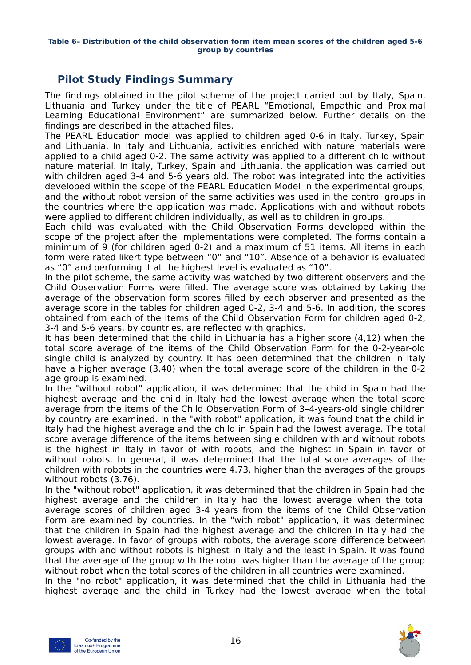#### **Table 6– Distribution of the child observation form item mean scores of the children aged 5-6 group by countries**

## <span id="page-15-0"></span>**Pilot Study Findings Summary**

The findings obtained in the pilot scheme of the project carried out by Italy, Spain, Lithuania and Turkey under the title of PEARL "Emotional, Empathic and Proximal Learning Educational Environment" are summarized below. Further details on the findings are described in the attached files.

The PEARL Education model was applied to children aged 0-6 in Italy, Turkey, Spain and Lithuania. In Italy and Lithuania, activities enriched with nature materials were applied to a child aged 0-2. The same activity was applied to a different child without nature material. In Italy, Turkey, Spain and Lithuania, the application was carried out with children aged 3-4 and 5-6 years old. The robot was integrated into the activities developed within the scope of the PEARL Education Model in the experimental groups, and the without robot version of the same activities was used in the control groups in the countries where the application was made. Applications with and without robots were applied to different children individually, as well as to children in groups.

Each child was evaluated with the Child Observation Forms developed within the scope of the project after the implementations were completed. The forms contain a minimum of 9 (for children aged 0-2) and a maximum of 51 items. All items in each form were rated likert type between "0" and "10". Absence of a behavior is evaluated as "0" and performing it at the highest level is evaluated as "10".

In the pilot scheme, the same activity was watched by two different observers and the Child Observation Forms were filled. The average score was obtained by taking the average of the observation form scores filled by each observer and presented as the average score in the tables for children aged 0-2, 3-4 and 5-6. In addition, the scores obtained from each of the items of the Child Observation Form for children aged 0-2, 3-4 and 5-6 years, by countries, are reflected with graphics.

It has been determined that the child in Lithuania has a higher score (4,12) when the total score average of the items of the Child Observation Form for the 0-2-year-old single child is analyzed by country. It has been determined that the children in Italy have a higher average (3.40) when the total average score of the children in the 0-2 age group is examined.

In the "without robot" application, it was determined that the child in Spain had the highest average and the child in Italy had the lowest average when the total score average from the items of the Child Observation Form of 3–4-years-old single children by country are examined. In the "with robot" application, it was found that the child in Italy had the highest average and the child in Spain had the lowest average. The total score average difference of the items between single children with and without robots is the highest in Italy in favor of with robots, and the highest in Spain in favor of without robots. In general, it was determined that the total score averages of the children with robots in the countries were 4.73, higher than the averages of the groups without robots (3.76).

In the "without robot" application, it was determined that the children in Spain had the highest average and the children in Italy had the lowest average when the total average scores of children aged 3-4 years from the items of the Child Observation Form are examined by countries. In the "with robot" application, it was determined that the children in Spain had the highest average and the children in Italy had the lowest average. In favor of groups with robots, the average score difference between groups with and without robots is highest in Italy and the least in Spain. It was found that the average of the group with the robot was higher than the average of the group without robot when the total scores of the children in all countries were examined.

In the "no robot" application, it was determined that the child in Lithuania had the highest average and the child in Turkey had the lowest average when the total



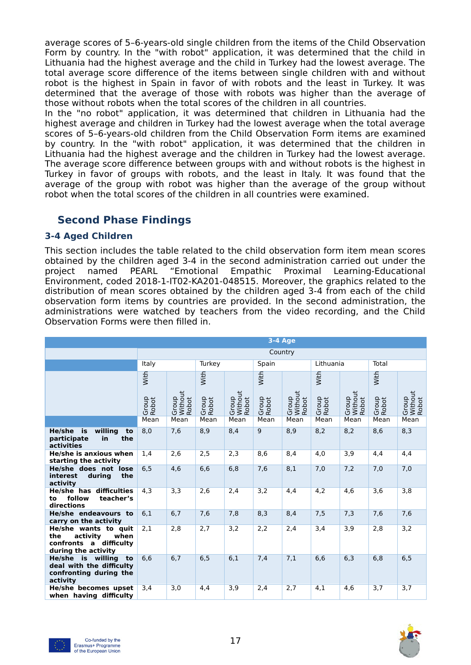average scores of 5–6-years-old single children from the items of the Child Observation Form by country. In the "with robot" application, it was determined that the child in Lithuania had the highest average and the child in Turkey had the lowest average. The total average score difference of the items between single children with and without robot is the highest in Spain in favor of with robots and the least in Turkey. It was determined that the average of those with robots was higher than the average of those without robots when the total scores of the children in all countries.

In the "no robot" application, it was determined that children in Lithuania had the highest average and children in Turkey had the lowest average when the total average scores of 5–6-years-old children from the Child Observation Form items are examined by country. In the "with robot" application, it was determined that the children in Lithuania had the highest average and the children in Turkey had the lowest average. The average score difference between groups with and without robots is the highest in Turkey in favor of groups with robots, and the least in Italy. It was found that the average of the group with robot was higher than the average of the group without robot when the total scores of the children in all countries were examined.

## <span id="page-16-1"></span>**Second Phase Findings**

#### <span id="page-16-0"></span>**3-4 Aged Children**

This section includes the table related to the child observation form item mean scores obtained by the children aged 3-4 in the second administration carried out under the project named PEARL "Emotional Empathic Proximal Learning-Educational Environment, coded 2018-1-IT02-KA201-048515. Moreover, the graphics related to the distribution of mean scores obtained by the children aged 3-4 from each of the child observation form items by countries are provided. In the second administration, the administrations were watched by teachers from the video recording, and the Child Observation Forms were then filled in.

|                                                                                                  | 3-4 Age               |                           |                |                           |                |                           |                |                           |                |                           |  |  |
|--------------------------------------------------------------------------------------------------|-----------------------|---------------------------|----------------|---------------------------|----------------|---------------------------|----------------|---------------------------|----------------|---------------------------|--|--|
|                                                                                                  | Country               |                           |                |                           |                |                           |                |                           |                |                           |  |  |
|                                                                                                  | Italy                 |                           | Turkey         |                           | Spain          |                           | Lithuania      |                           | Total          |                           |  |  |
|                                                                                                  | With                  |                           | With           |                           | With           |                           | With           |                           | With           |                           |  |  |
|                                                                                                  | Group<br><b>Robot</b> | Without<br>Group<br>Robot | Group<br>Robot | Without<br>Group<br>Robot | Group<br>Robot | Without<br>Group<br>Robot | Group<br>Robot | Without<br>Robot<br>Group | Group<br>Robot | Without<br>Robot<br>Group |  |  |
|                                                                                                  | Mean                  | Mean                      | Mean           | Mean                      | Mean           | Mean                      | Mean           | Mean                      | Mean           | Mean                      |  |  |
| willing<br>He/she<br>is<br>to<br>the<br>participate<br>in<br>activities                          | 8,0                   | 7,6                       | 8,9            | 8,4                       | 9              | 8,9                       | 8,2            | 8,2                       | 8,6            | 8,3                       |  |  |
| He/she is anxious when<br>starting the activity                                                  | 1,4                   | 2,6                       | 2,5            | 2,3                       | 8,6            | 8,4                       | 4,0            | 3,9                       | 4,4            | 4,4                       |  |  |
| He/she does not lose<br>during<br>the<br>interest<br>activity                                    | 6.5                   | 4,6                       | 6,6            | 6,8                       | 7,6            | 8,1                       | 7,0            | 7,2                       | 7,0            | 7,0                       |  |  |
| <b>He/she has difficulties</b><br>follow<br>teacher's<br>to<br>directions                        | 4,3                   | 3,3                       | 2,6            | 2,4                       | 3,2            | 4,4                       | 4,2            | 4,6                       | 3,6            | 3,8                       |  |  |
| He/she endeavours to<br>carry on the activity                                                    | 6,1                   | 6,7                       | 7.6            | 7.8                       | 8,3            | 8,4                       | 7,5            | 7,3                       | 7.6            | 7,6                       |  |  |
| He/she wants to quit<br>the<br>activity<br>when<br>confronts a difficulty<br>during the activity | 2,1                   | 2,8                       | 2,7            | 3,2                       | 2,2            | 2,4                       | 3,4            | 3,9                       | 2,8            | 3,2                       |  |  |
| He/she is willing<br>to<br>deal with the difficulty<br>confronting during the<br>activity        | 6,6                   | 6.7                       | 6, 5           | 6,1                       | 7,4            | 7,1                       | 6,6            | 6,3                       | 6,8            | 6, 5                      |  |  |
| He/she becomes upset<br>when having difficulty                                                   | 3,4                   | 3,0                       | 4,4            | 3,9                       | 2,4            | 2,7                       | 4,1            | 4,6                       | 3,7            | 3,7                       |  |  |

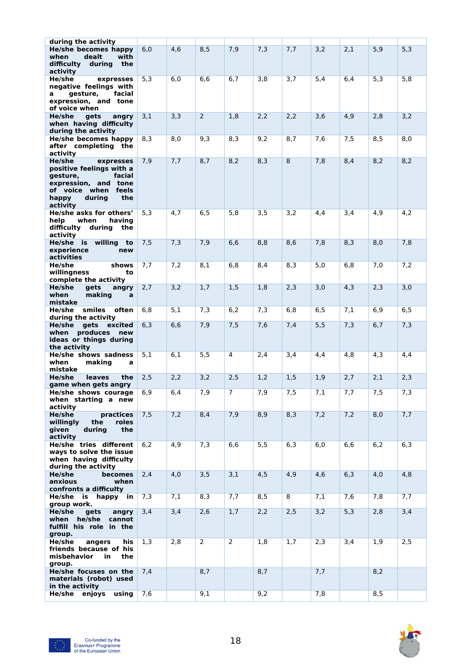| during the activity<br><b>He/she becomes happy</b><br>when<br>dealt<br>with<br>difficulty<br>during<br>the<br>activity                                        | 6,0 | 4,6 | 8,5            | 7,9      | 7,3 | 7,7 | 3,2 | 2,1 | 5,9 | 5,3  |
|---------------------------------------------------------------------------------------------------------------------------------------------------------------|-----|-----|----------------|----------|-----|-----|-----|-----|-----|------|
| He/she<br>expresses<br>negative feelings with<br>gesture,<br>facial<br>a<br>expression, and tone<br>of voice when                                             | 5,3 | 6,0 | 6,6            | 6,7      | 3,8 | 3,7 | 5,4 | 6,4 | 5,3 | 5,8  |
| He/she<br>gets<br>angry<br>when having difficulty<br>during the activity                                                                                      | 3,1 | 3,3 | $\overline{2}$ | 1,8      | 2,2 | 2,2 | 3,6 | 4,9 | 2,8 | 3,2  |
| He/she becomes happy<br>after completing the<br>activity                                                                                                      | 8,3 | 8,0 | 9,3            | 8,3      | 9,2 | 8,7 | 7,6 | 7,5 | 8,5 | 8,0  |
| He/she<br>expresses<br>positive feelings with a<br>gesture,<br>facial<br>expression, and tone<br>of voice when<br>feels<br>during<br>the<br>happy<br>activity | 7,9 | 7,7 | 8,7            | 8,2      | 8,3 | 8   | 7,8 | 8,4 | 8,2 | 8,2  |
| He/she asks for others'<br>help<br>when<br>having<br>difficulty<br>during<br>the<br>activity                                                                  | 5,3 | 4,7 | 6, 5           | 5,8      | 3,5 | 3,2 | 4,4 | 3,4 | 4,9 | 4,2  |
| He/she is willing<br>to<br>experience<br>new<br>activities                                                                                                    | 7,5 | 7,3 | 7,9            | 6,6      | 8,8 | 8,6 | 7,8 | 8,3 | 8,0 | 7,8  |
| He/she<br>shows<br>willingness<br>to<br>complete the activity                                                                                                 | 7,7 | 7,2 | 8,1            | 6,8      | 8,4 | 8,3 | 5,0 | 6,8 | 7,0 | 7,2  |
| He/she<br>gets<br>angry<br>making<br>when<br>a<br>mistake                                                                                                     | 2,7 | 3,2 | 1,7            | 1,5      | 1,8 | 2,3 | 3,0 | 4,3 | 2,3 | 3,0  |
| He/she smiles<br>often<br>during the activity                                                                                                                 | 6,8 | 5,1 | 7,3            | 6,2      | 7,3 | 6,8 | 6,5 | 7,1 | 6,9 | 6, 5 |
| He/she<br>gets<br>excited<br>when produces<br>new<br>ideas or things during<br>the activity                                                                   | 6,3 | 6,6 | 7,9            | 7,5      | 7,6 | 7,4 | 5,5 | 7,3 | 6,7 | 7,3  |
| <b>He/she shows sadness</b><br>when<br>making<br>a<br>mistake                                                                                                 | 5,1 | 6,1 | 5,5            | 4        | 2,4 | 3,4 | 4,4 | 4,8 | 4,3 | 4,4  |
| He/she<br>leaves<br>the                                                                                                                                       | 2,5 | 2,2 | 3,2            | 2,5      | 1,2 | 1,5 | 1,9 | 2,7 | 2,1 | 2,3  |
| game when gets angry<br>He/she shows courage<br>when starting a new<br>activity                                                                               | 6,9 | 6,4 | 7,9            | $\prime$ | 7,9 | 7,5 | 7,1 | 7,7 | 7,5 | 7,3  |
| He/she<br>practices<br>willinaly<br>roles<br>the<br>during<br>given<br>the<br>activity                                                                        | 7,5 | 7,2 | 8,4            | 7,9      | 8,9 | 8,3 | 7,2 | 7,2 | 8,0 | 7,7  |
| He/she tries different<br>ways to solve the issue<br>when having difficulty<br>during the activity                                                            | 6,2 | 4,9 | 7,3            | 6,6      | 5,5 | 6,3 | 6,0 | 6,6 | 6,2 | 6,3  |
| He/she<br>becomes<br>anxious<br>when<br>confronts a difficulty                                                                                                | 2,4 | 4,0 | 3,5            | 3,1      | 4,5 | 4,9 | 4,6 | 6,3 | 4,0 | 4,8  |
| He/she is happy in<br>group work.                                                                                                                             | 7,3 | 7,1 | 8,3            | 7,7      | 8,5 | 8   | 7,1 | 7,6 | 7,8 | 7,7  |
| He/she<br>gets<br>angry<br>when he/she<br>cannot<br>fulfill his role in the<br>group.                                                                         | 3,4 | 3,4 | 2,6            | 1,7      | 2,2 | 2,5 | 3,2 | 5,3 | 2,8 | 3,4  |
| He/she<br>angers<br>his<br>friends because of his<br>misbehavior<br>in<br>the<br>group.                                                                       | 1,3 | 2,8 | $\overline{2}$ | 2        | 1,8 | 1,7 | 2,3 | 3,4 | 1,9 | 2,5  |
| He/she focuses on the<br>materials (robot) used<br>in the activity                                                                                            | 7,4 |     | 8,7            |          | 8,7 |     | 7,7 |     | 8,2 |      |
| He/she enjoys using                                                                                                                                           | 7,6 |     | 9,1            |          | 9,2 |     | 7,8 |     | 8,5 |      |

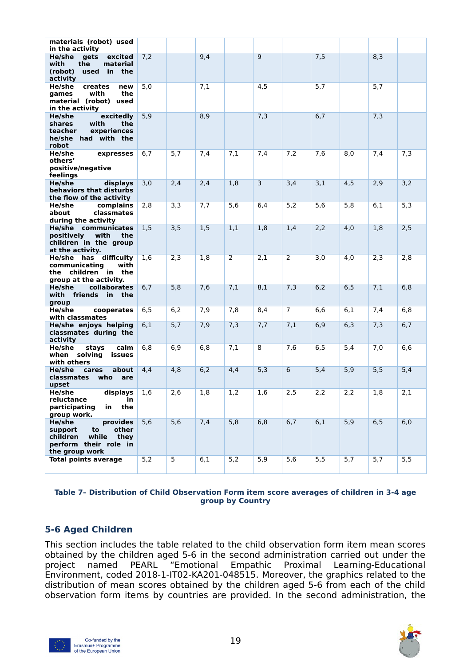| materials (robot) used<br>in the activity                                                                         |     |     |     |                |     |                |     |     |     |     |
|-------------------------------------------------------------------------------------------------------------------|-----|-----|-----|----------------|-----|----------------|-----|-----|-----|-----|
| He/she<br>gets<br>excited<br>with<br>the<br>material<br>(robot)<br>used in the<br>activity                        | 7,2 |     | 9,4 |                | 9   |                | 7,5 |     | 8,3 |     |
| He/she<br>creates<br>new<br>with<br>the<br>games<br>material (robot) used<br>in the activity                      | 5,0 |     | 7,1 |                | 4,5 |                | 5,7 |     | 5,7 |     |
| He/she<br>excitedly<br><b>shares</b><br>with<br>the<br>teacher<br>experiences<br>he/she had with the<br>robot     | 5,9 |     | 8,9 |                | 7,3 |                | 6,7 |     | 7,3 |     |
| He/she<br>expresses<br>others'<br>positive/negative<br>feelings                                                   | 6,7 | 5,7 | 7,4 | 7,1            | 7,4 | 7,2            | 7,6 | 8,0 | 7,4 | 7,3 |
| He/she<br>displays<br>behaviors that disturbs<br>the flow of the activity                                         | 3,0 | 2,4 | 2,4 | 1,8            | 3   | 3,4            | 3,1 | 4,5 | 2,9 | 3,2 |
| He/she<br>complains<br>about<br>classmates<br>during the activity                                                 | 2,8 | 3,3 | 7,7 | 5,6            | 6,4 | 5,2            | 5,6 | 5,8 | 6,1 | 5,3 |
| He/she communicates<br>positively<br>with<br>the<br>children in the group<br>at the activity.                     | 1,5 | 3,5 | 1,5 | 1,1            | 1,8 | 1,4            | 2,2 | 4,0 | 1,8 | 2,5 |
| He/she has difficulty<br>communicating<br>with<br>the children in the<br>group at the activity.                   | 1,6 | 2,3 | 1,8 | $\overline{2}$ | 2,1 | $\overline{2}$ | 3,0 | 4,0 | 2,3 | 2,8 |
| He/she<br>collaborates<br>with friends in<br>the<br>group                                                         | 6,7 | 5,8 | 7,6 | 7,1            | 8,1 | 7,3            | 6,2 | 6,5 | 7,1 | 6,8 |
| He/she<br>cooperates<br>with classmates                                                                           | 6,5 | 6,2 | 7,9 | 7,8            | 8,4 | $\overline{7}$ | 6,6 | 6,1 | 7,4 | 6,8 |
| He/she enjoys helping<br>classmates during the<br>activity                                                        | 6,1 | 5,7 | 7,9 | 7,3            | 7,7 | 7,1            | 6,9 | 6,3 | 7,3 | 6,7 |
| He/she<br>stays<br>calm<br>when solving<br>issues<br>with others                                                  | 6,8 | 6,9 | 6,8 | 7,1            | 8   | 7,6            | 6,5 | 5,4 | 7,0 | 6,6 |
| He/she<br>about<br>cares<br>classmates<br>who<br>are<br>upset                                                     | 4,4 | 4,8 | 6,2 | 4,4            | 5,3 | 6              | 5,4 | 5,9 | 5,5 | 5,4 |
| displays<br>He/she<br>reluctance<br>in<br>the<br>participating<br>in<br>group work.                               | 1,6 | 2,6 | 1,8 | 1,2            | 1,6 | 2,5            | 2,2 | 2,2 | 1,8 | 2,1 |
| He/she<br>provides<br>other<br>support<br>to<br>children<br>while they<br>perform their role in<br>the group work | 5,6 | 5,6 | 7,4 | 5,8            | 6,8 | 6,7            | 6,1 | 5,9 | 6,5 | 6,0 |
| <b>Total points average</b>                                                                                       | 5,2 | 5   | 6,1 | 5,2            | 5,9 | 5,6            | 5,5 | 5,7 | 5,7 | 5,5 |

#### **Table 7– Distribution of Child Observation Form item score averages of children in 3-4 age group by Country**

#### <span id="page-18-0"></span>**5-6 Aged Children**

This section includes the table related to the child observation form item mean scores obtained by the children aged 5-6 in the second administration carried out under the project named PEARL "Emotional Empathic Proximal Learning-Educational Environment, coded 2018-1-IT02-KA201-048515. Moreover, the graphics related to the distribution of mean scores obtained by the children aged 5-6 from each of the child observation form items by countries are provided. In the second administration, the



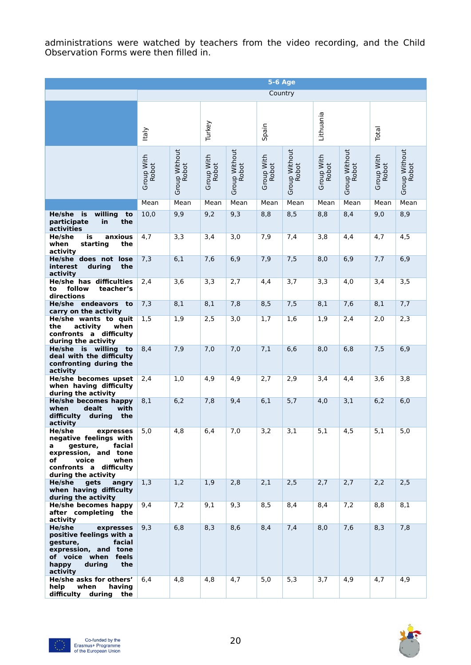administrations were watched by teachers from the video recording, and the Child Observation Forms were then filled in.

|                                                                                                                                                                          | <b>5-6 Age</b>      |                               |                     |                        |                     |                        |                            |                        |                     |                        |  |
|--------------------------------------------------------------------------------------------------------------------------------------------------------------------------|---------------------|-------------------------------|---------------------|------------------------|---------------------|------------------------|----------------------------|------------------------|---------------------|------------------------|--|
|                                                                                                                                                                          | Country             |                               |                     |                        |                     |                        |                            |                        |                     |                        |  |
|                                                                                                                                                                          |                     |                               |                     |                        |                     |                        |                            |                        |                     |                        |  |
|                                                                                                                                                                          | taly                |                               | Turkey              |                        | Spain               |                        | Lithuania                  |                        | Total               |                        |  |
|                                                                                                                                                                          | Group With<br>Robot | Group Without<br><b>Robot</b> | Group With<br>Robot | Group Without<br>Robot | Group With<br>Robot | Group Without<br>Robot | Group With<br><b>Robot</b> | Group Without<br>Robot | Group With<br>Robot | Group Without<br>Robot |  |
|                                                                                                                                                                          | Mean                | Mean                          | Mean                | Mean                   | Mean                | Mean                   | Mean                       | Mean                   | Mean                | Mean                   |  |
| willing<br>He/she is<br>to<br>participate<br>the<br>in<br>activities                                                                                                     | 10,0                | 9,9                           | 9,2                 | 9,3                    | 8,8                 | 8,5                    | 8,8                        | 8,4                    | 9,0                 | 8,9                    |  |
| He/she<br>anxious<br>is<br>starting<br>when<br>the<br>activity                                                                                                           | 4,7                 | 3,3                           | 3,4                 | 3,0                    | 7,9                 | 7,4                    | 3,8                        | 4,4                    | 4,7                 | 4,5                    |  |
| He/she does not lose<br>interest<br>during<br>the<br>activity                                                                                                            | 7,3                 | 6,1                           | 7,6                 | 6,9                    | 7,9                 | 7,5                    | 8,0                        | 6,9                    | 7,7                 | 6,9                    |  |
| He/she has difficulties<br>to<br>follow<br>teacher's<br>directions                                                                                                       | 2,4                 | 3,6                           | 3,3                 | 2,7                    | 4,4                 | 3,7                    | 3,3                        | 4,0                    | 3,4                 | 3,5                    |  |
| He/she endeavors to<br>carry on the activity                                                                                                                             | 7,3                 | 8,1                           | 8,1                 | 7,8                    | 8,5                 | 7,5                    | 8,1                        | 7,6                    | 8,1                 | 7,7                    |  |
| He/she wants to quit<br>activity<br>the<br>when<br>confronts a difficulty<br>during the activity                                                                         | 1,5                 | 1,9                           | 2,5                 | 3,0                    | 1,7                 | 1,6                    | 1,9                        | 2,4                    | 2,0                 | 2,3                    |  |
| He/she is willing<br>to<br>deal with the difficulty<br>confronting during the<br>activity                                                                                | 8,4                 | 7,9                           | 7,0                 | 7,0                    | 7,1                 | 6,6                    | 8,0                        | 6,8                    | 7,5                 | 6,9                    |  |
| He/she becomes upset<br>when having difficulty<br>during the activity                                                                                                    | 2,4                 | 1,0                           | 4,9                 | 4,9                    | 2,7                 | 2,9                    | 3,4                        | 4,4                    | 3,6                 | 3,8                    |  |
| He/she becomes happy<br>dealt<br>with<br>when<br>the<br>difficulty<br>during<br>activity                                                                                 | 8,1                 | 6,2                           | 7,8                 | 9,4                    | 6,1                 | 5,7                    | 4,0                        | 3,1                    | 6,2                 | 6,0                    |  |
| He/she<br>expresses<br>negative feelings with<br>gesture,<br>facial<br>a<br>expression, and tone<br>voice<br>when<br>of<br>confronts a difficulty<br>during the activity | 5,0                 | 4,8                           | 6,4                 | 1,0                    | 3,2                 | 3,1                    | 5,1                        | 4,5                    | 5,1                 | 5,0                    |  |
| He/she<br>gets<br>angry<br>when having difficulty<br>during the activity                                                                                                 | 1,3                 | 1,2                           | 1,9                 | 2,8                    | 2,1                 | 2,5                    | 2,7                        | 2,7                    | 2,2                 | 2,5                    |  |
| He/she becomes happy<br>after completing the<br>activity                                                                                                                 | 9,4                 | 7,2                           | 9,1                 | 9,3                    | 8,5                 | 8,4                    | 8,4                        | 7,2                    | 8,8                 | 8,1                    |  |
| He/she<br>expresses<br>positive feelings with a<br>gesture,<br>facial<br>expression, and tone<br>of voice when feels<br>happy<br>during<br>the<br>activity               | 9,3                 | 6,8                           | 8,3                 | 8,6                    | 8,4                 | 7,4                    | 8,0                        | 7,6                    | 8,3                 | 7,8                    |  |
| He/she asks for others'<br>help<br>when<br>having<br>difficulty<br>during<br>the                                                                                         | 6,4                 | 4,8                           | 4,8                 | 4,7                    | 5,0                 | 5,3                    | 3,7                        | 4,9                    | 4,7                 | 4,9                    |  |

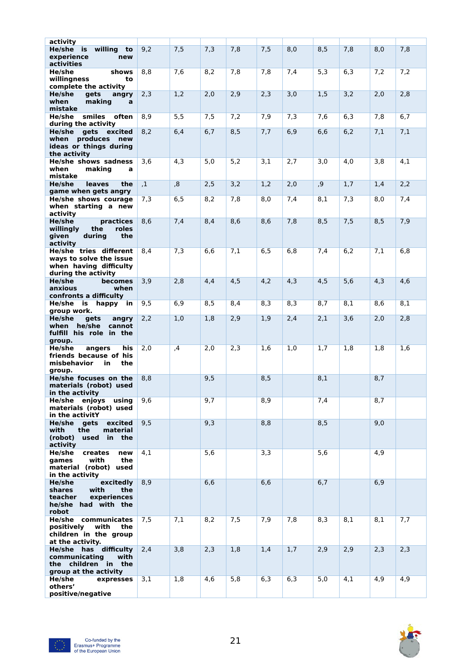| activity<br>He/she is willing<br>to<br>experience<br>new<br>activities                                 | 9,2            | 7,5 | 7,3 | 7,8 | 7,5 | 8,0 | 8,5 | 7,8 | 8,0 | 7,8 |
|--------------------------------------------------------------------------------------------------------|----------------|-----|-----|-----|-----|-----|-----|-----|-----|-----|
| He/she<br>shows<br>willingness<br>to<br>complete the activity                                          | 8,8            | 7,6 | 8,2 | 7,8 | 7,8 | 7,4 | 5,3 | 6,3 | 7,2 | 7,2 |
| He/she<br>qets<br>angry<br>making<br>when<br>$\mathbf{a}$<br>mistake                                   | 2,3            | 1,2 | 2,0 | 2,9 | 2,3 | 3,0 | 1,5 | 3,2 | 2,0 | 2,8 |
| He/she smiles often<br>during the activity                                                             | 8,9            | 5,5 | 7,5 | 7,2 | 7,9 | 7,3 | 7,6 | 6,3 | 7,8 | 6,7 |
| He/she<br>gets excited<br>when produces<br>new<br>ideas or things during<br>the activity               | 8,2            | 6,4 | 6,7 | 8,5 | 7,7 | 6,9 | 6,6 | 6,2 | 7,1 | 7,1 |
| He/she shows sadness<br>making<br>when<br>a<br>mistake                                                 | 3,6            | 4,3 | 5,0 | 5,2 | 3,1 | 2,7 | 3,0 | 4,0 | 3,8 | 4,1 |
| He/she<br><b>leaves</b><br>the<br>game when gets angry                                                 | $\overline{1}$ | ,8  | 2,5 | 3,2 | 1,2 | 2,0 | ,9  | 1,7 | 1,4 | 2,2 |
| He/she shows courage<br>when starting a new<br>activity                                                | 7,3            | 6,5 | 8,2 | 7,8 | 8,0 | 7,4 | 8,1 | 7,3 | 8,0 | 7,4 |
| He/she<br>practices<br>willingly<br>roles<br>the<br>during<br>the<br>given<br>activity                 | 8,6            | 7,4 | 8,4 | 8,6 | 8,6 | 7,8 | 8,5 | 7,5 | 8,5 | 7,9 |
| He/she tries different<br>ways to solve the issue<br>when having difficulty<br>during the activity     | 8,4            | 7,3 | 6,6 | 7,1 | 6,5 | 6,8 | 7,4 | 6,2 | 7,1 | 6,8 |
| He/she<br>becomes<br>anxious<br>when<br>confronts a difficulty                                         | 3,9            | 2,8 | 4,4 | 4,5 | 4,2 | 4,3 | 4,5 | 5,6 | 4,3 | 4,6 |
| He/she is happy in<br>group work.                                                                      | 9,5            | 6,9 | 8,5 | 8,4 | 8,3 | 8,3 | 8,7 | 8,1 | 8,6 | 8,1 |
| He/she<br>gets<br>angry<br>when he/she<br>cannot<br>fulfill his role in the<br>group.                  | 2,2            | 1,0 | 1,8 | 2,9 | 1,9 | 2,4 | 2,1 | 3,6 | 2,0 | 2,8 |
| He/she<br>his<br>angers<br>friends because of his<br>misbehavior<br>in<br>the<br>group.                | 2,0            | ,4  | 2,0 | 2,3 | 1,6 | 1,0 | 1,7 | 1,8 | 1,8 | 1,6 |
| He/she focuses on the<br>materials (robot) used<br>in the activity                                     | 8,8            |     | 9,5 |     | 8,5 |     | 8,1 |     | 8,7 |     |
| He/she enjoys<br>usina<br>materials (robot) used<br>in the activitY                                    | 9,6            |     | 9,7 |     | 8,9 |     | 7,4 |     | 8,7 |     |
| He/she<br>gets<br>excited<br>with<br>the<br>material<br>(robot)<br>used in the<br>activity             | 9,5            |     | 9,3 |     | 8,8 |     | 8,5 |     | 9,0 |     |
| He/she<br>creates<br>new<br>games<br>with<br>the<br>material (robot) used<br>in the activity           | 4,1            |     | 5,6 |     | 3,3 |     | 5,6 |     | 4,9 |     |
| He/she<br>excitedly<br>shares<br>with<br>the<br>experiences<br>teacher<br>he/she had with the<br>robot | 8,9            |     | 6,6 |     | 6,6 |     | 6,7 |     | 6,9 |     |
| He/she communicates<br>positively<br>with<br>the<br>children in the group<br>at the activity.          | 7,5            | 7,1 | 8,2 | 7,5 | 7,9 | 7,8 | 8,3 | 8,1 | 8,1 | 7,7 |
| He/she has difficulty<br>communicating<br>with<br>the children in the<br>group at the activity         | 2,4            | 3,8 | 2,3 | 1,8 | 1,4 | 1,7 | 2,9 | 2,9 | 2,3 | 2,3 |
| He/she<br>expresses<br>others'                                                                         | 3,1            | 1,8 | 4,6 | 5,8 | 6,3 | 6,3 | 5,0 | 4,1 | 4,9 | 4,9 |
| positive/negative                                                                                      |                |     |     |     |     |     |     |     |     |     |

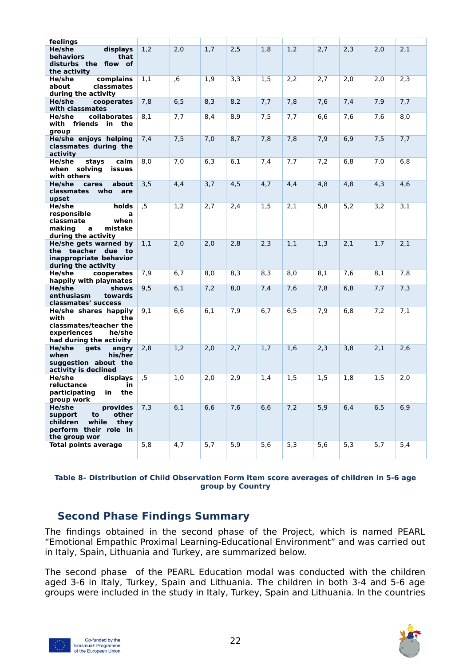| feelings                                                                                                            |     |     |     |     |     |      |     |     |     |                  |
|---------------------------------------------------------------------------------------------------------------------|-----|-----|-----|-----|-----|------|-----|-----|-----|------------------|
| He/she<br>displays<br>behaviors<br>that<br>disturbs the flow of<br>the activity                                     | 1,2 | 2,0 | 1,7 | 2,5 | 1,8 | 1,2  | 2,7 | 2,3 | 2,0 | 2,1              |
| He/she<br>complains<br>about<br>classmates<br>during the activity                                                   | 1,1 | 6,  | 1,9 | 3,3 | 1,5 | 2,2  | 2,7 | 2,0 | 2,0 | 2,3              |
| He/she<br>cooperates<br>with classmates                                                                             | 7,8 | 6,5 | 8,3 | 8,2 | 7,7 | 7,8  | 7,6 | 7,4 | 7,9 | 7,7              |
| collaborates<br>He/she<br>with friends<br>in<br>the<br>group                                                        | 8,1 | 7,7 | 8,4 | 8,9 | 7,5 | 7,7  | 6,6 | 7,6 | 7,6 | 8,0              |
| He/she enjoys helping<br>classmates during the<br>activity                                                          | 7,4 | 7,5 | 7,0 | 8,7 | 7,8 | 7,8  | 7,9 | 6,9 | 7,5 | 7,7              |
| He/she<br>stays<br>calm<br>when solving<br>issues<br>with others                                                    | 8,0 | 7,0 | 6,3 | 6,1 | 7,4 | 7,7  | 7,2 | 6,8 | 7,0 | 6,8              |
| He/she<br>cares<br>about<br>who<br>classmates<br>are<br>upset                                                       | 3,5 | 4,4 | 3,7 | 4,5 | 4,7 | 4,4  | 4,8 | 4,8 | 4,3 | 4,6              |
| He/she<br>holds<br>responsible<br>a<br>classmate<br>when<br>making<br>a<br>mistake<br>during the activity           | ,5  | 1,2 | 2,7 | 2,4 | 1,5 | 2,1  | 5,8 | 5,2 | 3,2 | $\overline{3,1}$ |
| He/she gets warned by<br>the teacher due to<br>inappropriate behavior<br>during the activity                        | 1,1 | 2,0 | 2,0 | 2,8 | 2,3 | 1,1  | 1,3 | 2,1 | 1,7 | 2,1              |
| He/she<br>cooperates<br>happily with playmates                                                                      | 7,9 | 6,7 | 8,0 | 8,3 | 8,3 | 8,0  | 8,1 | 7,6 | 8,1 | 7,8              |
| He/she<br>shows<br>enthusiasm<br>towards<br>classmates' success                                                     | 9,5 | 6,1 | 7,2 | 8,0 | 7,4 | 7,6  | 7,8 | 6,8 | 7,7 | 7,3              |
| He/she shares happily<br>with<br>the<br>classmates/teacher the<br>experiences<br>he/she<br>had during the activity  | 9,1 | 6,6 | 6,1 | 7,9 | 6,7 | 6, 5 | 7,9 | 6,8 | 7,2 | 7,1              |
| He/she<br>gets<br>angry<br>when<br>his/her<br>suggestion about the<br>activity is declined                          | 2,8 | 1,2 | 2,0 | 2,7 | 1,7 | 1,6  | 2,3 | 3,8 | 2,1 | 2,6              |
| He/she<br>displays<br>reluctance<br>in<br>participating<br>the<br><u>in</u><br>group work                           | ,5  | 1,0 | 2,0 | 2,9 | 1,4 | 1,5  | 1,5 | 1,8 | 1,5 | 2,0              |
| He/she<br>provides<br>other<br>support<br>to<br>children<br>while<br>they<br>perform their role in<br>the group wor | 7,3 | 6,1 | 6,6 | 7,6 | 6,6 | 7,2  | 5,9 | 6,4 | 6,5 | 6,9              |
| <b>Total points average</b>                                                                                         | 5,8 | 4,7 | 5,7 | 5,9 | 5,6 | 5,3  | 5,6 | 5,3 | 5,7 | 5,4              |

#### **Table 8– Distribution of Child Observation Form item score averages of children in 5-6 age group by Country**

## <span id="page-21-0"></span>**Second Phase Findings Summary**

The findings obtained in the second phase of the Project, which is named PEARL "Emotional Empathic Proximal Learning-Educational Environment" and was carried out in Italy, Spain, Lithuania and Turkey, are summarized below.

The second phase of the PEARL Education modal was conducted with the children aged 3-6 in Italy, Turkey, Spain and Lithuania. The children in both 3-4 and 5-6 age groups were included in the study in Italy, Turkey, Spain and Lithuania. In the countries



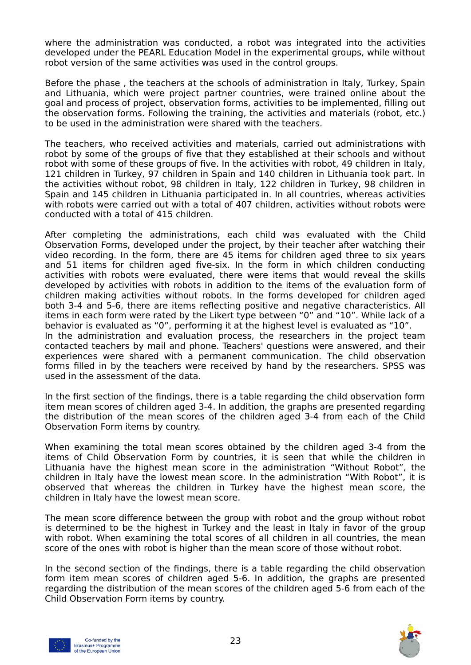where the administration was conducted, a robot was integrated into the activities developed under the PEARL Education Model in the experimental groups, while without robot version of the same activities was used in the control groups.

Before the phase , the teachers at the schools of administration in Italy, Turkey, Spain and Lithuania, which were project partner countries, were trained online about the goal and process of project, observation forms, activities to be implemented, filling out the observation forms. Following the training, the activities and materials (robot, etc.) to be used in the administration were shared with the teachers.

The teachers, who received activities and materials, carried out administrations with robot by some of the groups of five that they established at their schools and without robot with some of these groups of five. In the activities with robot, 49 children in Italy, 121 children in Turkey, 97 children in Spain and 140 children in Lithuania took part. In the activities without robot, 98 children in Italy, 122 children in Turkey, 98 children in Spain and 145 children in Lithuania participated in. In all countries, whereas activities with robots were carried out with a total of 407 children, activities without robots were conducted with a total of 415 children.

After completing the administrations, each child was evaluated with the Child Observation Forms, developed under the project, by their teacher after watching their video recording. In the form, there are 45 items for children aged three to six years and 51 items for children aged five-six. In the form in which children conducting activities with robots were evaluated, there were items that would reveal the skills developed by activities with robots in addition to the items of the evaluation form of children making activities without robots. In the forms developed for children aged both 3-4 and 5-6, there are items reflecting positive and negative characteristics. All items in each form were rated by the Likert type between "0" and "10". While lack of a behavior is evaluated as "0", performing it at the highest level is evaluated as "10". In the administration and evaluation process, the researchers in the project team contacted teachers by mail and phone. Teachers' questions were answered, and their experiences were shared with a permanent communication. The child observation forms filled in by the teachers were received by hand by the researchers. SPSS was used in the assessment of the data.

In the first section of the findings, there is a table regarding the child observation form item mean scores of children aged 3-4. In addition, the graphs are presented regarding the distribution of the mean scores of the children aged 3-4 from each of the Child Observation Form items by country.

When examining the total mean scores obtained by the children aged 3-4 from the items of Child Observation Form by countries, it is seen that while the children in Lithuania have the highest mean score in the administration "Without Robot", the children in Italy have the lowest mean score. In the administration "With Robot", it is observed that whereas the children in Turkey have the highest mean score, the children in Italy have the lowest mean score.

The mean score difference between the group with robot and the group without robot is determined to be the highest in Turkey and the least in Italy in favor of the group with robot. When examining the total scores of all children in all countries, the mean score of the ones with robot is higher than the mean score of those without robot.

In the second section of the findings, there is a table regarding the child observation form item mean scores of children aged 5-6. In addition, the graphs are presented regarding the distribution of the mean scores of the children aged 5-6 from each of the Child Observation Form items by country.